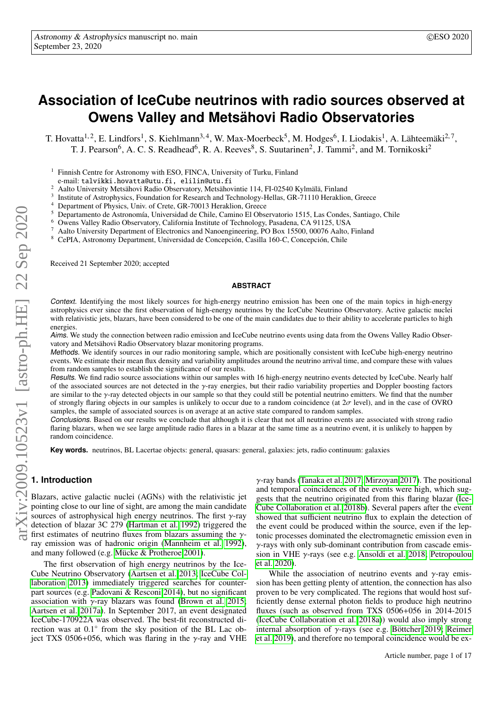# **Association of IceCube neutrinos with radio sources observed at Owens Valley and Metsähovi Radio Observatories**

T. Hovatta<sup>1, 2</sup>, E. Lindfors<sup>1</sup>, S. Kiehlmann<sup>3, 4</sup>, W. Max-Moerbeck<sup>5</sup>, M. Hodges<sup>6</sup>, I. Liodakis<sup>1</sup>, A. Lähteemäki<sup>2, 7</sup>, T. J. Pearson<sup>6</sup>, A. C. S. Readhead<sup>6</sup>, R. A. Reeves<sup>8</sup>, S. Suutarinen<sup>2</sup>, J. Tammi<sup>2</sup>, and M. Tornikoski<sup>2</sup>

<sup>1</sup> Finnish Centre for Astronomy with ESO, FINCA, University of Turku, Finland

e-mail: talvikki.hovatta@utu.fi, elilin@utu.fi

<sup>2</sup> Aalto University Metsähovi Radio Observatory, Metsähovintie 114, FI-02540 Kylmälä, Finland

3 Institute of Astrophysics, Foundation for Research and Technology-Hellas, GR-71110 Heraklion, Greece

Department of Physics, Univ. of Crete, GR-70013 Heraklion, Greece

<sup>5</sup> Departamento de Astronomía, Universidad de Chile, Camino El Observatorio 1515, Las Condes, Santiago, Chile

<sup>6</sup> Owens Valley Radio Observatory, California Institute of Technology, Pasadena, CA 91125, USA

<sup>7</sup> Aalto University Department of Electronics and Nanoengineering, PO Box 15500, 00076 Aalto, Finland

<sup>8</sup> CePIA, Astronomy Department, Universidad de Concepción, Casilla 160-C, Concepción, Chile

Received 21 September 2020; accepted

#### **ABSTRACT**

Context. Identifying the most likely sources for high-energy neutrino emission has been one of the main topics in high-energy astrophysics ever since the first observation of high-energy neutrinos by the IceCube Neutrino Observatory. Active galactic nuclei with relativistic jets, blazars, have been considered to be one of the main candidates due to their ability to accelerate particles to high energies.

Aims. We study the connection between radio emission and IceCube neutrino events using data from the Owens Valley Radio Observatory and Metsähovi Radio Observatory blazar monitoring programs.

Methods. We identify sources in our radio monitoring sample, which are positionally consistent with IceCube high-energy neutrino events. We estimate their mean flux density and variability amplitudes around the neutrino arrival time, and compare these with values from random samples to establish the significance of our results.

Results. We find radio source associations within our samples with 16 high-energy neutrino events detected by IceCube. Nearly half of the associated sources are not detected in the  $\gamma$ -ray energies, but their radio variability properties and Doppler boosting factors are similar to the  $\gamma$ -ray detected objects in our sample so that they could still be potential neutrino emitters. We find that the number of strongly flaring objects in our samples is unlikely to occur due to a random coincidence (at  $2\sigma$  level), and in the case of OVRO samples, the sample of associated sources is on average at an active state compared to random samples.

Conclusions. Based on our results we conclude that although it is clear that not all neutrino events are associated with strong radio flaring blazars, when we see large amplitude radio flares in a blazar at the same time as a neutrino event, it is unlikely to happen by random coincidence.

**Key words.** neutrinos, BL Lacertae objects: general, quasars: general, galaxies: jets, radio continuum: galaxies

# **1. Introduction**

Blazars, active galactic nuclei (AGNs) with the relativistic jet pointing close to our line of sight, are among the main candidate sources of astrophysical high energy neutrinos. The first  $\gamma$ -ray detection of blazar 3C 279 [\(Hartman et al. 1992\)](#page-11-0) triggered the  $\frac{1}{\sqrt{2}}$  first estimates of neutrino fluxes from blazars assuming the  $\gamma$ ray emission was of hadronic origin [\(Mannheim et al. 1992\)](#page-11-1), and many followed (e.g. [Mücke & Protheroe 2001\)](#page-11-2).

The first observation of high energy neutrinos by the Ice-Cube Neutrino Observatory [\(Aartsen et al. 2013;](#page-10-0) [IceCube Col](#page-11-3)[laboration 2013\)](#page-11-3) immediately triggered searches for counterpart sources (e.g. [Padovani & Resconi 2014\)](#page-11-4), but no significant association with  $\gamma$ -ray blazars was found [\(Brown et al. 2015;](#page-11-5) [Aartsen et al. 2017a\)](#page-10-1). In September 2017, an event designated IceCube-170922A was observed. The best-fit reconstructed direction was at 0.1<sup>°</sup> from the sky position of the BL Lac object TXS 0506+056, which was flaring in the  $\gamma$ -ray and VHE

γ-ray bands [\(Tanaka et al. 2017;](#page-11-6) [Mirzoyan 2017\)](#page-11-7). The positional and temporal coincidences of the events were high, which suggests that the neutrino originated from this flaring blazar [\(Ice-](#page-11-8)[Cube Collaboration et al. 2018b\)](#page-11-8). Several papers after the event showed that sufficient neutrino flux to explain the detection of the event could be produced within the source, even if the leptonic processes dominated the electromagnetic emission even in  $\gamma$ -rays with only sub-dominant contribution from cascade emission in VHE γ-rays (see e.g. [Ansoldi et al. 2018;](#page-11-9) [Petropoulou](#page-11-10) [et al. 2020\)](#page-11-10).

While the association of neutrino events and  $\gamma$ -ray emission has been getting plenty of attention, the connection has also proven to be very complicated. The regions that would host sufficiently dense external photon fields to produce high neutrino fluxes (such as observed from TXS 0506+056 in 2014-2015 [\(IceCube Collaboration et al. 2018a\)](#page-11-11)) would also imply strong internal absorption of γ-rays (see e.g. [Böttcher 2019;](#page-11-12) [Reimer](#page-11-13) [et al. 2019\)](#page-11-13), and therefore no temporal coincidence would be ex-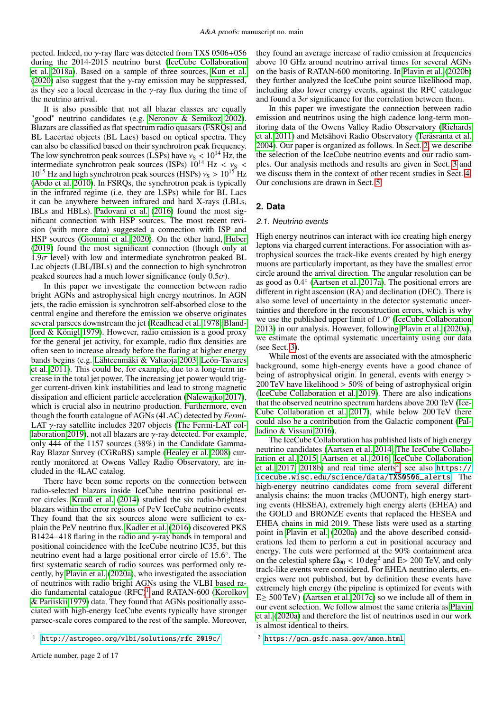pected. Indeed, no γ-ray flare was detected from TXS 0506+<sup>056</sup> during the 2014-2015 neutrino burst [\(IceCube Collaboration](#page-11-11) [et al. 2018a\)](#page-11-11). Based on a sample of three sources, [Kun et al.](#page-11-14) [\(2020\)](#page-11-14) also suggest that the  $\gamma$ -ray emission may be suppressed, as they see a local decrease in the  $\gamma$ -ray flux during the time of the neutrino arrival.

It is also possible that not all blazar classes are equally "good" neutrino candidates (e.g. [Neronov & Semikoz 2002\)](#page-11-15). Blazars are classified as flat spectrum radio quasars (FSRQs) and BL Lacertae objects (BL Lacs) based on optical spectra. They can also be classified based on their synchrotron peak frequency. The low synchrotron peak sources (LSPs) have  $v_S < 10^{14}$  Hz, the intermediate synchrotron peak sources (ISPs)  $10^{14}$  Hz  $\lt v_s \lt$ intermediate synchrotron peak sources (ISPs)  $10^{14}$  Hz <  $v_S$  <  $10^{15}$  Hz and high synchrotron peak sources (HSPs)  $v_S > 10^{15}$  Hz  $10^{15}$  Hz and high synchrotron peak sources (HSPs)  $v_S > 10^{15}$  Hz [\(Abdo et al. 2010\)](#page-11-16). In FSRQs, the synchrotron peak is typically in the infrared regime (i.e. they are LSPs) while for BL Lacs it can be anywhere between infrared and hard X-rays (LBLs, IBLs and HBLs). [Padovani et al.](#page-11-17) [\(2016\)](#page-11-17) found the most significant connection with HSP sources. The most recent revision (with more data) suggested a connection with ISP and HSP sources [\(Giommi et al. 2020\)](#page-11-18). On the other hand, [Huber](#page-11-19) [\(2019\)](#page-11-19) found the most significant connection (though only at  $1.9\sigma$  level) with low and intermediate synchrotron peaked BL Lac objects (LBL/IBLs) and the connection to high synchrotron peaked sources had a much lower significance (only  $0.5\sigma$ ).

In this paper we investigate the connection between radio bright AGNs and astrophysical high energy neutrinos. In AGN jets, the radio emission is synchrotron self-absorbed close to the central engine and therefore the emission we observe originates several parsecs downstream the jet [\(Readhead et al. 1978;](#page-11-20) [Bland](#page-11-21)[ford & Königl 1979\)](#page-11-21). However, radio emission is a good proxy for the general jet activity, for example, radio flux densities are often seen to increase already before the flaring at higher energy bands begins (e.g. [Lähteenmäki & Valtaoja 2003;](#page-11-22) [León-Tavares](#page-11-23) [et al. 2011\)](#page-11-23). This could be, for example, due to a long-term increase in the total jet power. The increasing jet power would trigger current-driven kink instabilities and lead to strong magnetic dissipation and efficient particle acceleration [\(Nalewajko 2017\)](#page-11-24), which is crucial also in neutrino production. Furthermore, even though the fourth catalogue of AGNs (4LAC) detected by *Fermi*-LAT γ-ray satellite includes 3207 objects [\(The Fermi-LAT col](#page-11-25)[laboration 2019\)](#page-11-25), not all blazars are  $\gamma$ -ray detected. For example, only 444 of the 1157 sources (38%) in the Candidate Gamma-Ray Blazar Survey (CGRaBS) sample [\(Healey et al. 2008\)](#page-11-26) currently monitored at Owens Valley Radio Observatory, are included in the 4LAC catalog.

There have been some reports on the connection between radio-selected blazars inside IceCube neutrino positional error circles. [Krauß et al.](#page-11-27) [\(2014\)](#page-11-27) studied the six radio-brightest blazars within the error regions of PeV IceCube neutrino events. They found that the six sources alone were sufficient to explain the PeV neutrino flux. [Kadler et al.](#page-11-28) [\(2016\)](#page-11-28) discovered PKS B1424−418 flaring in the radio and  $\gamma$ -ray bands in temporal and positional coincidence with the IceCube neutrino IC35, but this neutrino event had a large positional error circle of 15.6°. The<br>first systematic search of radio sources was performed only refirst systematic search of radio sources was performed only recently, by [Plavin et al.](#page-11-29) [\(2020a\)](#page-11-29), who investigated the association of neutrinos with radio bright AGNs using the VLBI based ra-dio fundamental catalogue (RFC)<sup>[1](#page-1-0)</sup> and RATAN-600 [\(Korolkov](#page-11-30) [& Pariiskii 1979\)](#page-11-30) data. They found that AGNs positionally associated with high-energy IceCube events typically have stronger parsec-scale cores compared to the rest of the sample. Moreover,

they found an average increase of radio emission at frequencies above 10 GHz around neutrino arrival times for several AGNs on the basis of RATAN-600 monitoring. In [Plavin et al.](#page-11-31) [\(2020b\)](#page-11-31) they further analyzed the IceCube point source likelihood map, including also lower energy events, against the RFC catalogue and found a  $3\sigma$  significance for the correlation between them.

In this paper we investigate the connection between radio emission and neutrinos using the high cadence long-term monitoring data of the Owens Valley Radio Observatory [\(Richards](#page-11-32) [et al. 2011\)](#page-11-32) and Metsähovi Radio Observatory [\(Teräsranta et al.](#page-11-33) [2004\)](#page-11-33). Our paper is organized as follows. In Sect. [2,](#page-1-1) we describe the selection of the IceCube neutrino events and our radio samples. Our analysis methods and results are given in Sect. [3](#page-2-0) and we discuss them in the context of other recent studies in Sect. [4.](#page-6-0) Our conclusions are drawn in Sect. [5.](#page-10-2)

# <span id="page-1-1"></span>**2. Data**

#### 2.1. Neutrino events

High energy neutrinos can interact with ice creating high energy leptons via charged current interactions. For association with astrophysical sources the track-like events created by high energy muons are particularly important, as they have the smallest error circle around the arrival direction. The angular resolution can be as good as 0.<sup>4</sup> ◦ [\(Aartsen et al. 2017a\)](#page-10-1). The positional errors are different in right ascension (RA) and declination (DEC). There is also some level of uncertainty in the detector systematic uncertainties and therefore in the reconstruction errors, which is why we use the published upper limit of 1.0° [\(IceCube Collaboration](#page-11-3)<br>2013) in our analysis However following Playin et al. (2020a) [2013\)](#page-11-3) in our analysis. However, following [Plavin et al.](#page-11-29) [\(2020a\)](#page-11-29), we estimate the optimal systematic uncertainty using our data (see Sect. [3\)](#page-2-0).

While most of the events are associated with the atmospheric background, some high-energy events have a good chance of being of astrophysical origin. In general, events with energy  $>$  $200 \text{ TeV}$  have likelihood  $> 50\%$  of being of astrophysical origin [\(IceCube Collaboration et al. 2019\)](#page-11-34). There are also indications that the observed neutrino spectrum hardens above 200 TeV [\(Ice-](#page-11-35)[Cube Collaboration et al. 2017\)](#page-11-35), while below 200 TeV there could also be a contribution from the Galactic component [\(Pal](#page-11-36)[ladino & Vissani 2016\)](#page-11-36).

The IceCube Collaboration has published lists of high energy neutrino candidates [\(Aartsen et al. 2014;](#page-11-37) [The IceCube Collabo](#page-11-38)[ration et al. 2015;](#page-11-38) [Aartsen et al. 2016;](#page-10-3) [IceCube Collaboration](#page-11-35) [et al. 2017,](#page-11-35) [2018b\)](#page-11-8) and real time alerts<sup>[2](#page-1-2)</sup>, see also  $\text{https://}$  $\text{https://}$  $\text{https://}$ [icecube.wisc.edu/science/data/TXS0506\\_alerts]( https://icecube.wisc.edu/science/data/TXS0506_alerts). The high-energy neutrino candidates come from several different analysis chains: the muon tracks (MUONT), high energy starting events (HESEA), extremely high energy alerts (EHEA) and the GOLD and BRONZE events that replaced the HESEA and EHEA chains in mid 2019. These lists were used as a starting point in [Plavin et al.](#page-11-29) [\(2020a\)](#page-11-29) and the above described considerations led them to perform a cut in positional accuracy and energy. The cuts were performed at the 90% containment area on the celestial sphere  $\hat{\Omega}_{90} < 10 \text{ deg}^2$  and E> 200 TeV, and only track-like events were considered. For EHEA neutrino alerts, entrack-like events were considered. For EHEA neutrino alerts, energies were not published, but by definition these events have extremely high energy (the pipeline is optimized for events with E $\geq$  500 TeV) [\(Aartsen et al. 2017c\)](#page-10-4) so we include all of them in our event selection. We follow almost the same criteria as [Plavin](#page-11-29) [et al.](#page-11-29) [\(2020a\)](#page-11-29) and therefore the list of neutrinos used in our work is almost identical to theirs.

<span id="page-1-0"></span><sup>1</sup> [http://astrogeo.org/vlbi/solutions/rfc\\_2019c/](http://astrogeo.org/vlbi/solutions/rfc_2019c/)

<span id="page-1-2"></span><sup>2</sup> <https://gcn.gsfc.nasa.gov/amon.html>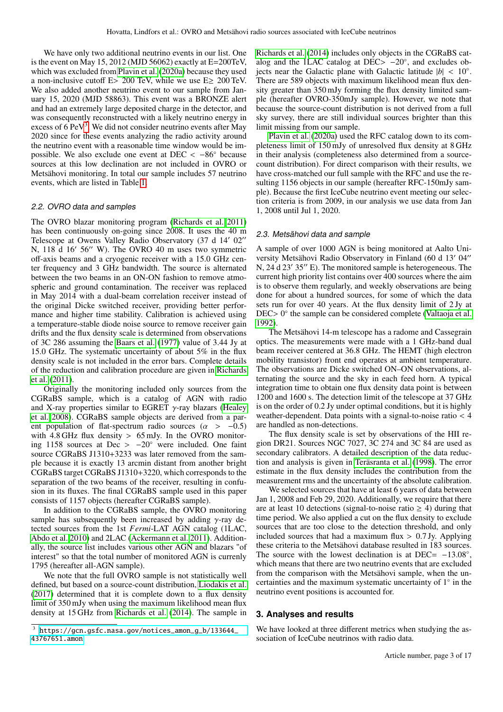We have only two additional neutrino events in our list. One is the event on May 15, 2012 (MJD 56062) exactly at E=200TeV, which was excluded from [Plavin et al.](#page-11-29) [\(2020a\)](#page-11-29) because they used a non-inclusive cutoff <sup>E</sup>> 200 TeV, while we use E<sup>≥</sup> 200 TeV. We also added another neutrino event to our sample from January 15, 2020 (MJD 58863). This event was a BRONZE alert and had an extremely large deposited charge in the detector, and was consequently reconstructed with a likely neutrino energy in excess of  $6$  PeV<sup>[3](#page-2-1)</sup>. We did not consider neutrino events after May 2020 since for these events analyzing the radio activity around the neutrino event with a reasonable time window would be impossible. We also exclude one event at DEC  $\lt -86°$  because sources at this low declination are not included in OVRO or Metsähovi monitoring. In total our sample includes 57 neutrino events, which are listed in Table [1.](#page-3-0)

# <span id="page-2-2"></span>2.2. OVRO data and samples

The OVRO blazar monitoring program [\(Richards et al. 2011\)](#page-11-32) has been continuously on-going since 2008. It uses the 40 m Telescope at Owens Valley Radio Observatory (37 d 14' 02" N,  $118$  d  $16'$  56 $''$  W). The OVRO 40 m uses two symmetric off-axis beams and a cryogenic receiver with a 15.0 GHz center frequency and 3 GHz bandwidth. The source is alternated between the two beams in an ON-ON fashion to remove atmospheric and ground contamination. The receiver was replaced in May 2014 with a dual-beam correlation receiver instead of the original Dicke switched receiver, providing better performance and higher time stability. Calibration is achieved using a temperature-stable diode noise source to remove receiver gain drifts and the flux density scale is determined from observations of 3C 286 assuming the [Baars et al.](#page-11-39) [\(1977\)](#page-11-39) value of 3.44 Jy at 15.0 GHz. The systematic uncertainty of about 5% in the flux density scale is not included in the error bars. Complete details of the reduction and calibration procedure are given in [Richards](#page-11-32) [et al.](#page-11-32) [\(2011\)](#page-11-32).

Originally the monitoring included only sources from the CGRaBS sample, which is a catalog of AGN with radio and X-ray properties similar to EGRET  $\gamma$ -ray blazars [\(Healey](#page-11-26) [et al. 2008\)](#page-11-26). CGRaBS sample objects are derived from a parent population of flat-spectrum radio sources ( $\alpha > -0.5$ ) with 4.8 GHz flux density > 65 mJy. In the OVRO monitoring 1158 sources at Dec >  $-20^\circ$  were included. One faint source CGRaBS J1310+3233 was later removed from the sample because it is exactly 13 arcmin distant from another bright CGRaBS target CGRaBS J1310+3220, which corresponds to the separation of the two beams of the receiver, resulting in confusion in its fluxes. The final CGRaBS sample used in this paper consists of 1157 objects (hereafter CGRaBS sample).

In addition to the CGRaBS sample, the OVRO monitoring sample has subsequently been increased by adding  $\gamma$ -ray detected sources from the 1st *Fermi*-LAT AGN catalog (1LAC, [Abdo et al. 2010\)](#page-11-16) and 2LAC [\(Ackermann et al. 2011\)](#page-11-40). Additionally, the source list includes various other AGN and blazars "of interest" so that the total number of monitored AGN is currenly 1795 (hereafter all-AGN sample).

We note that the full OVRO sample is not statistically well defined, but based on a source-count distribution, [Liodakis et al.](#page-11-41) [\(2017\)](#page-11-41) determined that it is complete down to a flux density limit of 350 mJy when using the maximum likelihood mean flux density at 15 GHz from [Richards et al.](#page-11-42) [\(2014\)](#page-11-42). The sample in [Richards et al.](#page-11-42) [\(2014\)](#page-11-42) includes only objects in the CGRaBS catalog and the 1LAC catalog at DEC>  $-20^\circ$ , and excludes ob-<br>jects near the Galactic plane with Galactic latitude  $|h| < 10^\circ$ jects near the Galactic plane with Galactic latitude  $|b| < 10°$ .<br>There are 589 objects with maximum likelihood mean flux den-There are 589 objects with maximum likelihood mean flux density greater than 350 mJy forming the flux density limited sample (hereafter OVRO-350mJy sample). However, we note that because the source-count distribution is not derived from a full sky survey, there are still individual sources brighter than this limit missing from our sample.

[Plavin et al.](#page-11-29) [\(2020a\)](#page-11-29) used the RFC catalog down to its completeness limit of 150 mJy of unresolved flux density at 8 GHz in their analysis (completeness also determined from a sourcecount distribution). For direct comparison with their results, we have cross-matched our full sample with the RFC and use the resulting 1156 objects in our sample (hereafter RFC-150mJy sample). Because the first IceCube neutrino event meeting our selection criteria is from 2009, in our analysis we use data from Jan 1, 2008 until Jul 1, 2020.

## 2.3. Metsähovi data and sample

A sample of over 1000 AGN is being monitored at Aalto University Metsähovi Radio Observatory in Finland (60 d 13' 04" N,  $24$  d  $23'$  35 $''$  E). The monitored sample is heterogeneous. The current high priority list contains over 400 sources where the aim is to observe them regularly, and weekly observations are being done for about a hundred sources, for some of which the data sets run for over 40 years. At the flux density limit of 2 Jy at DEC> 0<sup>°</sup> the sample can be considered complete [\(Valtaoja et al.](#page-11-43) <del>1992</del>) [1992\)](#page-11-43).

The Metsähovi 14-m telescope has a radome and Cassegrain optics. The measurements were made with a 1 GHz-band dual beam receiver centered at 36.8 GHz. The HEMT (high electron mobility transistor) front end operates at ambient temperature. The observations are Dicke switched ON–ON observations, alternating the source and the sky in each feed horn. A typical integration time to obtain one flux density data point is between 1200 and 1600 s. The detection limit of the telescope at 37 GHz is on the order of 0.2 Jy under optimal conditions, but it is highly weather-dependent. Data points with a signal-to-noise ratio < <sup>4</sup> are handled as non-detections.

The flux density scale is set by observations of the HII region DR21. Sources NGC 7027, 3C 274 and 3C 84 are used as secondary calibrators. A detailed description of the data reduction and analysis is given in [Teräsranta et al.](#page-11-44) [\(1998\)](#page-11-44). The error estimate in the flux density includes the contribution from the measurement rms and the uncertainty of the absolute calibration.

We selected sources that have at least 6 years of data between Jan 1, 2008 and Feb 29, 2020. Additionally, we require that there are at least 10 detections (signal-to-noise ratio  $\geq$  4) during that time period. We also applied a cut on the flux density to exclude sources that are too close to the detection threshold, and only included sources that had a maximum flux  $> 0.7$  Jy. Applying these criteria to the Metsähovi database resulted in 183 sources. The source with the lowest declination is at DEC=  $-13.08^\circ$ , which means that there are two neutrino events that are excluded which means that there are two neutrino events that are excluded from the comparison with the Metsähovi sample, when the uncertainties and the maximum systematic uncertainty of 1◦ in the neutrino event positions is accounted for.

# <span id="page-2-0"></span>**3. Analyses and results**

We have looked at three different metrics when studying the association of IceCube neutrinos with radio data.

<span id="page-2-1"></span><sup>3</sup> [https://gcn.gsfc.nasa.gov/notices\\_amon\\_g\\_b/133644\\_](https://gcn.gsfc.nasa.gov/notices_amon_g_b/133644_43767651.amon) [43767651.amon](https://gcn.gsfc.nasa.gov/notices_amon_g_b/133644_43767651.amon)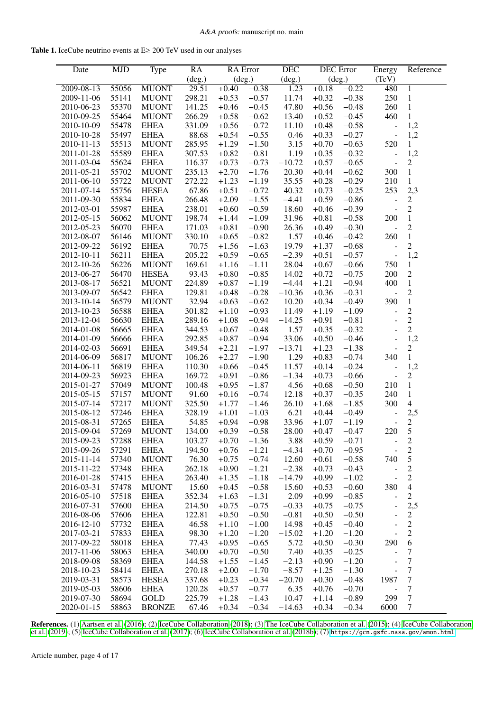Table 1. IceCube neutrino events at E≥ 200 TeV used in our analyses

<span id="page-3-0"></span>

| Date                     | <b>MJD</b>     | Type                        | RA               | <b>RA</b> Error    |                    | $\overline{DEC}$ | <b>DEC</b> Error   |                    | Energy                               | Reference                        |
|--------------------------|----------------|-----------------------------|------------------|--------------------|--------------------|------------------|--------------------|--------------------|--------------------------------------|----------------------------------|
|                          |                |                             | (deg.)           |                    | (deg.)             | (deg.)           | (deg.)             |                    | (TeV)                                |                                  |
| $2009 - 08 - 13$         | 55056          | <b>MUONT</b>                | 29.51            | $+0.40$            | $-0.38$            | 1.23             | $+0.18$            | $-0.22$            | 480                                  | $\overline{1}$                   |
| 2009-11-06               | 55141          | <b>MUONT</b>                | 298.21           | $+0.53$            | $-0.57$            | 11.74            | $+0.32$            | $-0.38$            | 250                                  | $\,1\,$                          |
| 2010-06-23               | 55370          | <b>MUONT</b>                | 141.25           | $+0.46$            | $-0.45$            | 47.80            | $+0.56$            | $-0.48$            | 260                                  | $\,1$                            |
| 2010-09-25               | 55464          | <b>MUONT</b>                | 266.29           | $+0.58$            | $-0.62$            | 13.40            | $+0.52$            | $-0.45$            | 460                                  | $\mathbf{1}$                     |
| 2010-10-09               | 55478          | <b>EHEA</b>                 | 331.09           | $+0.56$            | $-0.72$            | 11.10            | $+0.48$            | $-0.58$            | $\qquad \qquad -$                    | 1,2                              |
| 2010-10-28               | 55497          | <b>EHEA</b>                 | 88.68            | $+0.54$            | $-0.55$            | 0.46             | $+0.33$            | $-0.27$            | $\qquad \qquad \blacksquare$         | 1,2                              |
| 2010-11-13               | 55513          | <b>MUONT</b>                | 285.95           | $+1.29$            | $-1.50$            | 3.15             | $+0.70$            | $-0.63$            | 520                                  | $\mathbf{1}$                     |
| 2011-01-28               | 55589          | <b>EHEA</b>                 | 307.53           | $+0.82$            | $-0.81$            | 1.19             | $+0.35$            | $-0.32$            | $\blacksquare$                       | 1,2                              |
| 2011-03-04               | 55624          | <b>EHEA</b>                 | 116.37           | $+0.73$            | $-0.73$            | $-10.72$         | $+0.57$            | $-0.65$            | $\frac{1}{2}$                        | $\overline{c}$                   |
| 2011-05-21               | 55702          | <b>MUONT</b>                | 235.13           | $+2.70$            | $-1.76$            | 20.30            | $+0.44$            | $-0.62$            | 300                                  | $\mathbf{1}$                     |
| 2011-06-10               | 55722          | <b>MUONT</b>                | 272.22           | $+1.23$            | $-1.19$            | 35.55            | $+0.28$            | $-0.29$            | 210                                  | $\mathbf{1}$                     |
| 2011-07-14               | 55756          | <b>HESEA</b>                | 67.86            | $+0.51$            | $-0.72$            | 40.32            | $+0.73$            | $-0.25$            | 253                                  | 2,3                              |
| 2011-09-30               | 55834          | <b>EHEA</b>                 | 266.48           | $+2.09$            | $-1.55$            | $-4.41$          | $+0.59$            | $-0.86$            | $\qquad \qquad \blacksquare$         | $\overline{c}$                   |
| 2012-03-01               | 55987          | <b>EHEA</b>                 | 238.01           | $+0.60$            | $-0.59$            | 18.60            | $+0.46$            | $-0.39$            | $\overline{a}$                       | $\overline{c}$                   |
| 2012-05-15               | 56062          | <b>MUONT</b>                | 198.74           | $+1.44$            | $-1.09$            | 31.96            | $+0.81$            | $-0.58$            | 200                                  | $\,1$                            |
| 2012-05-23               | 56070          | <b>EHEA</b>                 | 171.03           | $+0.81$            | $-0.90$            | 26.36            | $+0.49$            | $-0.30$            | $\blacksquare$                       | $\overline{2}$                   |
| 2012-08-07               | 56146          | <b>MUONT</b><br><b>EHEA</b> | 330.10           | $+0.65$            | $-0.82$            | 1.57<br>19.79    | $+0.46$            | $-0.42$            | 260                                  | $\mathbf{1}$<br>$\overline{2}$   |
| 2012-09-22               | 56192          |                             | 70.75            | $+1.56$            | $-1.63$            |                  | $+1.37$            | $-0.68$            | $\qquad \qquad \blacksquare$         |                                  |
| 2012-10-11               | 56211          | <b>EHEA</b>                 | 205.22           | $+0.59$            | $-0.65$            | $-2.39$          | $+0.51$            | $-0.57$            | $\blacksquare$                       | 1,2                              |
| 2012-10-26               | 56226          | <b>MUONT</b>                | 169.61           | $+1.16$            | $-1.11$            | 28.04            | $+0.67$            | $-0.66$            | 750                                  | $\mathbf{1}$                     |
| 2013-06-27               | 56470          | <b>HESEA</b>                | 93.43            | $+0.80$            | $-0.85$            | 14.02            | $+0.72$            | $-0.75$            | 200                                  | $\boldsymbol{2}$                 |
| 2013-08-17               | 56521          | <b>MUONT</b>                | 224.89<br>129.81 | $+0.87$            | $-1.19$            | $-4.44$          | $+1.21$            | $-0.94$            | 400                                  | $\mathbf{1}$<br>$\overline{2}$   |
| 2013-09-07               | 56542          | <b>EHEA</b>                 |                  | $+0.48$            | $-0.28$            | $-10.36$         | $+0.36$            | $-0.31$            | $\overline{\phantom{a}}$             |                                  |
| 2013-10-14               | 56579          | <b>MUONT</b>                | 32.94            | $+0.63$            | $-0.62$            | 10.20            | $+0.34$            | $-0.49$            | 390                                  | $\,1$                            |
| 2013-10-23               | 56588          | <b>EHEA</b>                 | 301.82           | $+1.10$            | $-0.93$            | 11.49            | $+1.19$            | $-1.09$            | $\blacksquare$                       | $\overline{2}$<br>$\overline{2}$ |
| 2013-12-04               | 56630          | <b>EHEA</b>                 | 289.16           | $+1.08$            | $-0.94$            | $-14.25$         | $+0.91$            | $-0.81$            | $\overline{a}$                       | $\overline{c}$                   |
| 2014-01-08               | 56665          | <b>EHEA</b>                 | 344.53           | $+0.67$            | $-0.48$            | 1.57             | $+0.35$            | $-0.32$            | $\overline{\phantom{a}}$             |                                  |
| 2014-01-09               | 56666          | <b>EHEA</b>                 | 292.85           | $+0.87$            | $-0.94$            | 33.06            | $+0.50$            | $-0.46$            | ÷                                    | 1,2<br>$\boldsymbol{2}$          |
| 2014-02-03               | 56691          | <b>EHEA</b>                 | 349.54           | $+2.21$            | $-1.97$            | $-13.71$         | $+1.23$            | $-1.38$            | $\overline{a}$<br>340                | $\mathbf{1}$                     |
| 2014-06-09               | 56817<br>56819 | <b>MUONT</b>                | 106.26           | $+2.27$            | $-1.90$            | 1.29             | $+0.83$            | $-0.74$            |                                      |                                  |
| 2014-06-11               |                | <b>EHEA</b>                 | 110.30<br>169.72 | $+0.66$            | $-0.45$            | 11.57            | $+0.14$            | $-0.24$            | $\blacksquare$<br>$\frac{1}{2}$      | 1,2<br>$\boldsymbol{2}$          |
| 2014-09-23<br>2015-01-27 | 56923<br>57049 | <b>EHEA</b><br><b>MUONT</b> | 100.48           | $+0.91$<br>$+0.95$ | $-0.86$<br>$-1.87$ | $-1.34$<br>4.56  | $+0.73$<br>$+0.68$ | $-0.66$<br>$-0.50$ | 210                                  | $\mathbf{1}$                     |
| 2015-05-15               | 57157          | <b>MUONT</b>                | 91.60            | $+0.16$            | $-0.74$            | 12.18            | $+0.37$            | $-0.35$            | 240                                  | $\mathbf{1}$                     |
| 2015-07-14               | 57217          | <b>MUONT</b>                | 325.50           | $+1.77$            | $-1.46$            | 26.10            | $+1.68$            | $-1.85$            | 300                                  | $\overline{4}$                   |
| 2015-08-12               | 57246          | <b>EHEA</b>                 | 328.19           |                    | $-1.03$            | 6.21             |                    | $-0.49$            |                                      |                                  |
| 2015-08-31               | 57265          | <b>EHEA</b>                 | 54.85            | $+1.01$<br>$+0.94$ | $-0.98$            | 33.96            | $+0.44$<br>$+1.07$ | $-1.19$            | $\Box$                               | 2,5<br>$\overline{c}$            |
| 2015-09-04               | 57269          | <b>MUONT</b>                | 134.00           | $+0.39$            | $-0.58$            | 28.00            | $+0.47$            | $-0.47$            | $\overline{\phantom{a}}$<br>220      | 5                                |
| 2015-09-23               | 57288          | <b>EHEA</b>                 | 103.27           | $+0.70$            | $-1.36$            | 3.88             | $+0.59$            | $-0.71$            |                                      | 2                                |
| 2015-09-26               | 57291          | <b>EHEA</b>                 | 194.50           | $+0.76$            | $-1.21$            | $-4.34$          | $+0.70$            | $-0.95$            | ۰<br>$\overline{\phantom{a}}$        | $\overline{c}$                   |
| 2015-11-14               | 57340          | <b>MUONT</b>                | 76.30            | $+0.75$            | $-0.74$            | 12.60            | $+0.61$            | $-0.58$            | 740                                  | 5                                |
| 2015-11-22               | 57348          | <b>EHEA</b>                 | 262.18           | $+0.90$            | $-1.21$            | $-2.38$          | $+0.73$            | $-0.43$            | $\blacksquare$                       | $\overline{2}$                   |
| 2016-01-28               | 57415          | EHEA                        | 263.40           | $+1.35$            | $-1.18$            | $-14.79$         | $+0.99$            | $-1.02$            | $\frac{1}{2}$                        | $\sqrt{2}$                       |
| 2016-03-31               | 57478          | <b>MUONT</b>                | 15.60            | $+0.45$            | $-0.58$            | 15.60            | $+0.53$            | $-0.60$            | 380                                  | $\overline{4}$                   |
| 2016-05-10               | 57518          | <b>EHEA</b>                 | 352.34           | $+1.63$            | $-1.31$            | 2.09             | $+0.99$            | $-0.85$            | $\blacksquare$                       | $\overline{c}$                   |
| 2016-07-31               | 57600          | <b>EHEA</b>                 | 214.50           | $+0.75$            | $-0.75$            | $-0.33$          | $+0.75$            | $-0.75$            | $\blacksquare$                       | 2,5                              |
| 2016-08-06               | 57606          | <b>EHEA</b>                 | 122.81           | $+0.50$            | $-0.50$            | $-0.81$          | $+0.50$            | $-0.50$            | $\blacksquare$                       | $\overline{c}$                   |
| 2016-12-10               | 57732          | <b>EHEA</b>                 | 46.58            | $+1.10$            | $-1.00$            | 14.98            | $+0.45$            | $-0.40$            | $\blacksquare$                       | $\sqrt{2}$                       |
| 2017-03-21               | 57833          | <b>EHEA</b>                 | 98.30            | $+1.20$            | $-1.20$            | $-15.02$         | $+1.20$            | $-1.20$            |                                      | $\sqrt{2}$                       |
| 2017-09-22               | 58018          | <b>EHEA</b>                 | 77.43            | $+0.95$            | $-0.65$            | 5.72             | $+0.50$            | $-0.30$            | 290                                  | 6                                |
| 2017-11-06               | 58063          | EHEA                        | 340.00           | $+0.70$            | $-0.50$            | 7.40             | $+0.35$            | $-0.25$            | $\blacksquare$                       | $\boldsymbol{7}$                 |
| 2018-09-08               | 58369          | <b>EHEA</b>                 | 144.58           | $+1.55$            | $-1.45$            | $-2.13$          | $+0.90$            | $-1.20$            | $\qquad \qquad \blacksquare$         | $\boldsymbol{7}$                 |
| 2018-10-23               | 58414          | <b>EHEA</b>                 | 270.18           | $+2.00$            | $-1.70$            | $-8.57$          | $+1.25$            | $-1.30$            |                                      | $\boldsymbol{7}$                 |
| 2019-03-31               | 58573          | <b>HESEA</b>                | 337.68           | $+0.23$            | $-0.34$            | $-20.70$         | $+0.30$            | $-0.48$            | $\qquad \qquad \blacksquare$<br>1987 | $\boldsymbol{7}$                 |
| 2019-05-03               | 58606          | <b>EHEA</b>                 | 120.28           | $+0.57$            | $-0.77$            | 6.35             | $+0.76$            | $-0.70$            | $\frac{1}{2}$                        | $\tau$                           |
| 2019-07-30               | 58694          | GOLD                        | 225.79           | $+1.28$            | $-1.43$            | 10.47            | $+1.14$            | $-0.89$            | 299                                  | $\boldsymbol{7}$                 |
| 2020-01-15               | 58863          | <b>BRONZE</b>               | 67.46            | $+0.34$            | $-0.34$            | $-14.63$         | $+0.34$            | $-0.34$            | 6000                                 | $\tau$                           |
|                          |                |                             |                  |                    |                    |                  |                    |                    |                                      |                                  |

References. (1) [Aartsen et al.](#page-10-3) [\(2016\)](#page-10-3); (2) [IceCube Collaboration](#page-11-45) [\(2018\)](#page-11-45); (3) [The IceCube Collaboration et al.](#page-11-38) [\(2015\)](#page-11-38); (4) [IceCube Collaboration](#page-11-34) [et al.](#page-11-34) [\(2019\)](#page-11-34); (5) [IceCube Collaboration et al.](#page-11-35) [\(2017\)](#page-11-35); (6) [IceCube Collaboration et al.](#page-11-8) [\(2018b\)](#page-11-8); (7) <https://gcn.gsfc.nasa.gov/amon.html>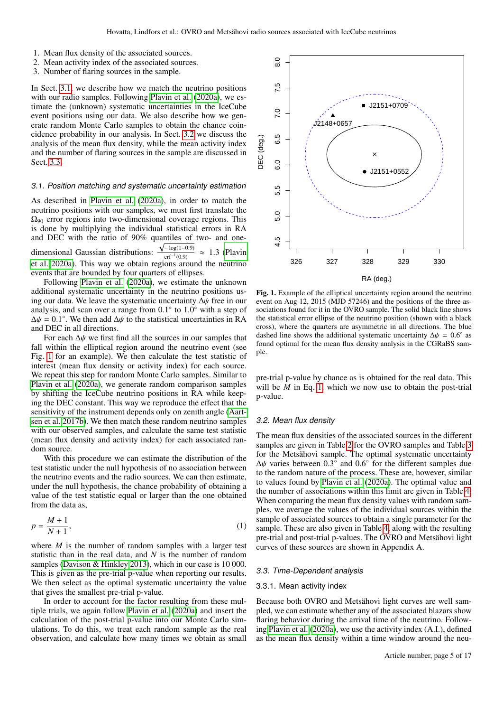- 1. Mean flux density of the associated sources.
- 2. Mean activity index of the associated sources.
- 3. Number of flaring sources in the sample.

In Sect. [3.1,](#page-4-0) we describe how we match the neutrino positions with our radio samples. Following [Plavin et al.](#page-11-29) [\(2020a\)](#page-11-29), we estimate the (unknown) systematic uncertainties in the IceCube event positions using our data. We also describe how we generate random Monte Carlo samples to obtain the chance coincidence probability in our analysis. In Sect. [3.2](#page-4-1) we discuss the analysis of the mean flux density, while the mean activity index and the number of flaring sources in the sample are discussed in Sect. [3.3.](#page-4-2)

#### <span id="page-4-0"></span>3.1. Position matching and systematic uncertainty estimation

As described in [Plavin et al.](#page-11-29) [\(2020a\)](#page-11-29), in order to match the neutrino positions with our samples, we must first translate the  $Ω<sub>90</sub>$  error regions into two-dimensional coverage regions. This is done by multiplying the individual statistical errors in RA and DEC with the ratio of 90% quantiles of two- and onedimensional Gaussian distributions:  $\frac{\sqrt{-\log(1-0.9)}}{\text{erf}^{-1}(0.9)} \approx 1.3$  [\(Plavin](#page-11-29)<br>et al. 2020a). This way we obtain regions around the neutrino  $erf^{-1}(0.9)$ [et al. 2020a\)](#page-11-29). This way we obtain regions around the neutrino events that are bounded by four quarters of ellipses.

Following [Plavin et al.](#page-11-29) [\(2020a\)](#page-11-29), we estimate the unknown additional systematic uncertainty in the neutrino positions using our data. We leave the systematic uncertainty <sup>∆</sup>ψ free in our analysis, and scan over a range from  $0.1^{\circ}$  to  $1.0^{\circ}$  with a step of  $\Delta u = 0.1^{\circ}$  We then add  $\Delta u$  to the statistical uncertainties in RA  $\Delta \psi = 0.1^{\circ}$ . We then add  $\Delta \psi$  to the statistical uncertainties in RA and DEC in all directions and DEC in all directions.

For each  $\Delta\psi$  we first find all the sources in our samples that fall within the elliptical region around the neutrino event (see Fig. [1](#page-4-3) for an example). We then calculate the test statistic of interest (mean flux density or activity index) for each source. We repeat this step for random Monte Carlo samples. Similar to [Plavin et al.](#page-11-29) [\(2020a\)](#page-11-29), we generate random comparison samples by shifting the IceCube neutrino positions in RA while keeping the DEC constant. This way we reproduce the effect that the sensitivity of the instrument depends only on zenith angle [\(Aart](#page-10-5)[sen et al. 2017b\)](#page-10-5). We then match these random neutrino samples with our observed samples, and calculate the same test statistic (mean flux density and activity index) for each associated random source.

With this procedure we can estimate the distribution of the test statistic under the null hypothesis of no association between the neutrino events and the radio sources. We can then estimate, under the null hypothesis, the chance probability of obtaining a value of the test statistic equal or larger than the one obtained from the data as,

<span id="page-4-4"></span>
$$
p = \frac{M+1}{N+1},\tag{1}
$$

where *M* is the number of random samples with a larger test statistic than in the real data, and *N* is the number of random samples [\(Davison & Hinkley 2013\)](#page-11-46), which in our case is 10 000. This is given as the pre-trial p-value when reporting our results. We then select as the optimal systematic uncertainty the value that gives the smallest pre-trial p-value.

In order to account for the factor resulting from these multiple trials, we again follow [Plavin et al.](#page-11-29) [\(2020a\)](#page-11-29) and insert the calculation of the post-trial p-value into our Monte Carlo simulations. To do this, we treat each random sample as the real observation, and calculate how many times we obtain as small



<span id="page-4-3"></span>Fig. 1. Example of the elliptical uncertainty region around the neutrino event on Aug 12, 2015 (MJD 57246) and the positions of the three associations found for it in the OVRO sample. The solid black line shows the statistical error ellipse of the neutrino position (shown with a black cross), where the quarters are asymmetric in all directions. The blue dashed line shows the additional systematic uncertainty  $\Delta \psi = 0.6^{\circ}$  as found optimal for the mean flux density analysis in the CGRaBS samfound optimal for the mean flux density analysis in the CGRaBS sample.

pre-trial p-value by chance as is obtained for the real data. This will be *M* in Eq. [1,](#page-4-4) which we now use to obtain the post-trial p-value.

# <span id="page-4-1"></span>3.2. Mean flux density

The mean flux densities of the associated sources in the different samples are given in Table [2](#page-5-0) for the OVRO samples and Table [3](#page-5-1) for the Metsähovi sample. The optimal systematic uncertainty  $\Delta\psi$  varies between 0.3<sup>°</sup> and 0.6<sup>°</sup> for the different samples due<br>to the random nature of the process. These are, however, similar to the random nature of the process. These are, however, similar to values found by [Plavin et al.](#page-11-29) [\(2020a\)](#page-11-29). The optimal value and the number of associations within this limit are given in Table [4.](#page-6-1) When comparing the mean flux density values with random samples, we average the values of the individual sources within the sample of associated sources to obtain a single parameter for the sample. These are also given in Table [4,](#page-6-1) along with the resulting pre-trial and post-trial p-values. The OVRO and Metsähovi light curves of these sources are shown in Appendix A.

#### <span id="page-4-2"></span>3.3. Time-Dependent analysis

# 3.3.1. Mean activity index

Because both OVRO and Metsähovi light curves are well sampled, we can estimate whether any of the associated blazars show flaring behavior during the arrival time of the neutrino. Following [Plavin et al.](#page-11-29) [\(2020a\)](#page-11-29), we use the activity index (A.I.), defined as the mean flux density within a time window around the neu-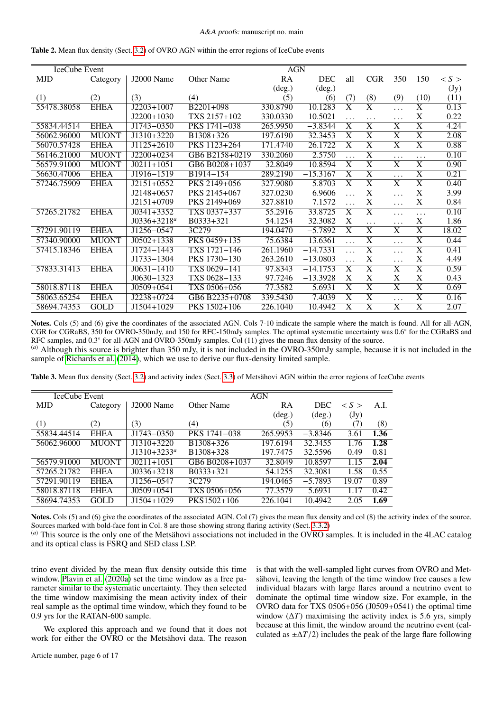| IceCube Event |              |                         |                          | <b>AGN</b>      |                 |                         |                         |                         |                       |                     |
|---------------|--------------|-------------------------|--------------------------|-----------------|-----------------|-------------------------|-------------------------|-------------------------|-----------------------|---------------------|
| <b>MJD</b>    | Category     | J2000 Name              | Other Name               | RA              | <b>DEC</b>      | all                     | <b>CGR</b>              | 350                     | 150                   | $\langle S \rangle$ |
|               |              |                         |                          | $(\text{deg.})$ | $(\text{deg.})$ |                         |                         |                         |                       | (Jy)                |
| (1)           | (2)          | (3)                     | (4)                      | (5)             | (6)             | (7)                     | (8)                     | (9)                     | (10)                  | (11)                |
| 55478.38058   | <b>EHEA</b>  | $J2203+1007$            | $\overline{B2201} + 098$ | 330.8790        | 10.1283         | $\overline{\text{X}}$   | $\overline{\text{X}}$   | .                       | $\overline{\text{X}}$ | 0.13                |
|               |              | $J2200+1030$            | TXS 2157+102             | 330.0330        | 10.5021         | $\cdots$                | .                       | .                       | X                     | 0.22                |
| 55834.44514   | <b>EHEA</b>  | $J1743 - 0350$          | PKS 1741-038             | 265.9950        | $-3.8344$       | $\overline{X}$          | $\overline{\text{X}}$   | $\overline{X}$          | $\overline{X}$        | 4.24                |
| 56062.96000   | <b>MUONT</b> | $J1310+3220$            | B1308+326                | 197.6190        | 32.3453         | $\overline{\text{X}}$   | $\overline{\text{X}}$   | $\overline{X}$          | $\overline{\text{X}}$ | 2.08                |
| 56070.57428   | <b>EHEA</b>  | $\overline{J1125+2610}$ | PKS 1123+264             | 171.4740        | 26.1722         | $\overline{\mathrm{X}}$ | $\overline{\text{X}}$   | $\overline{\text{X}}$   | $\overline{\text{X}}$ | 0.88                |
| 56146.21000   | <b>MUONT</b> | $J2200+0234$            | GB6 B2158+0219           | 330.2060        | 2.5750          | $\cdots$                | $\overline{\text{X}}$   | .                       | $\ddots$              | 0.10                |
| 56579.91000   | <b>MUONT</b> | $J0211+1051$            | GB6 B0208+1037           | 32.8049         | 10.8594         | $\overline{X}$          | $\overline{\text{X}}$   | $\overline{X}$          | $\overline{\text{X}}$ | 0.90                |
| 56630.47006   | <b>EHEA</b>  | J1916-1519              | B1914-154                | 289.2190        | $-15.3167$      | $\overline{\text{X}}$   | $\overline{\text{X}}$   | $\cdots$                | $\overline{\text{X}}$ | 0.21                |
| 57246.75909   | <b>EHEA</b>  | $J2151+0552$            | PKS 2149+056             | 327.9080        | 5.8703          | $\overline{\mathrm{X}}$ | $\overline{\mathrm{X}}$ | $\overline{\text{X}}$   | $\overline{\text{X}}$ | 0.40                |
|               |              | $J2148+0657$            | PKS 2145+067             | 327.0230        | 6.9606          | $\cdots$                | X                       | $\cdots$                | X                     | 3.99                |
|               |              | $J2151+0709$            | PKS 2149+069             | 327.8810        | 7.1572          |                         | X                       | $\cdots$                | X                     | 0.84                |
| 57265.21782   | <b>EHEA</b>  | $J0341+3352$            | TXS 0337+337             | 55.2916         | 33.8725         | $\overline{\mathrm{X}}$ | $\overline{\text{X}}$   | .                       | $\ddots$              | 0.10                |
|               |              | $J0336+3218^a$          | B0333+321                | 54.1254         | 32.3082         | X                       | $\cdots$                | $\cdots$                | $\mathbf X$           | 1.86                |
| 57291.90119   | <b>EHEA</b>  | J1256-0547              | 3C279                    | 194.0470        | $-5.7892$       | $\overline{\mathrm{X}}$ | $\overline{\text{X}}$   | $\overline{X}$          | $\overline{\text{X}}$ | 18.02               |
| 57340.90000   | <b>MUONT</b> | $J0502+1338$            | PKS 0459+135             | 75.6384         | 13.6361         | $\cdots$                | $\overline{\text{X}}$   | $\cdots$                | $\overline{\text{X}}$ | 0.44                |
| 57415.18346   | <b>EHEA</b>  | $J1724 - 1443$          | TXS 1721-146             | 261.1960        | $-14.7331$      | $\ddotsc$               | $\overline{\text{X}}$   | $\cdots$                | $\overline{\text{X}}$ | 0.41                |
|               |              | J1733-1304              | PKS 1730-130             | 263.2610        | $-13.0803$      | $\cdots$                | X                       | .                       | X                     | 4.49                |
| 57833.31413   | <b>EHEA</b>  | $J0631 - 1410$          | TXS 0629-141             | 97.8343         | $-14.1753$      | $\overline{X}$          | $\overline{\text{X}}$   | $\overline{\mathrm{X}}$ | $\overline{\text{X}}$ | 0.59                |
|               |              | $J0630 - 1323$          | TXS 0628-133             | 97.7246         | $-13.3928$      | X                       | X                       | X                       | X                     | 0.43                |
| 58018.87118   | <b>EHEA</b>  | $J0509 + 0541$          | TXS 0506+056             | 77.3582         | 5.6931          | $\overline{\text{X}}$   | $\overline{\text{X}}$   | $\overline{\text{X}}$   | $\overline{\text{X}}$ | 0.69                |
| 58063.65254   | <b>EHEA</b>  | $J2238+0724$            | GB6 B2235+0708           | 339.5430        | 7.4039          | $\overline{\text{X}}$   | $\overline{\text{X}}$   | $\cdots$                | $\overline{\text{X}}$ | 0.16                |
| 58694.74353   | <b>GOLD</b>  | $J1504+1029$            | PKS 1502+106             | 226.1040        | 10.4942         | $\overline{\text{X}}$   | $\overline{\text{X}}$   | $\overline{\text{X}}$   | $\overline{\text{X}}$ | 2.07                |

<span id="page-5-0"></span>Table 2. Mean flux density (Sect. [3.2\)](#page-4-1) of OVRO AGN within the error regions of IceCube events

Notes. Cols (5) and (6) give the coordinates of the associated AGN. Cols 7-10 indicate the sample where the match is found. All for all-AGN, CGR for CGRaBS, 350 for OVRO-350mJy, and 150 for RFC-150mJy samples. The optimal systematic uncertainty was 0.6° for the CGRaBS and<br>RFC samples, and 0.3° for all-AGN and OVRO-350mJy samples. Col (11) gives the mean flux de RFC samples, and  $0.3^{\circ}$  for all-AGN and OVRO-350mJy samples. Col (11) gives the mean flux density of the source.<br>(a) Although this source is brighter than 350 mJy it is not included in the OVRO 350mJy sample, because

(*a*) Although this source is brighter than 350 mJy, it is not included in the OVRO-350mJy sample, because it is not included in the sample of [Richards et al.](#page-11-42) [\(2014\)](#page-11-42), which we use to derive our flux-density limited sample.

<span id="page-5-1"></span>Table 3. Mean flux density (Sect. [3.2\)](#page-4-1) and activity index (Sect. [3.3\)](#page-4-2) of Metsähovi AGN within the error regions of IceCube events

| IceCube Event |              |                    | <b>AGN</b>        |                 |                 |                     |      |  |  |
|---------------|--------------|--------------------|-------------------|-----------------|-----------------|---------------------|------|--|--|
| <b>MJD</b>    | Category     | J2000 Name         | Other Name        | RA              | <b>DEC</b>      | $\langle S \rangle$ | A.I. |  |  |
|               |              |                    |                   | $(\text{deg.})$ | $(\text{deg.})$ | (Jy)                |      |  |  |
| (1)           | (2)          | (3)                | (4)               | (5)             | (6)             | (7)                 | (8)  |  |  |
| 55834.44514   | <b>EHEA</b>  | $J1743 - 0350$     | PKS 1741-038      | 265.9953        | $-3.8346$       | 3.61                | 1.36 |  |  |
| 56062.96000   | <b>MUONT</b> | $J1310+3220$       | B1308+326         | 197.6194        | 32.3455         | 1.76                | 1.28 |  |  |
|               |              | $J1310+3233^a$     | B1308+328         | 197.7475        | 32.5596         | 0.49                | 0.81 |  |  |
| 56579.91000   | <b>MUONT</b> | $10211 + 1051$     | GB6 B0208+1037    | 32.8049         | 10.8597         | 1.15                | 2.04 |  |  |
| 57265.21782   | <b>EHEA</b>  | $J(0.336 + 3218)$  | B0333+321         | 54.1255         | 32.3081         | 1.58                | 0.55 |  |  |
| 57291.90119   | <b>EHEA</b>  | J1256-0547         | 3C <sub>279</sub> | 194.0465        | $-5.7893$       | 19.07               | 0.89 |  |  |
| 58018.87118   | <b>EHEA</b>  | $J(0.509 + 0.541)$ | TXS 0506+056      | 77.3579         | 5.6931          | 1.17                | 0.42 |  |  |
| 58694.74353   | <b>GOLD</b>  | $J1504+1029$       | PKS1502+106       | 226.1041        | 10.4942         | 2.05                | 1.69 |  |  |

Notes. Cols (5) and (6) give the coordinates of the associated AGN. Col (7) gives the mean flux density and col (8) the activity index of the source. Sources marked with bold-face font in Col. 8 are those showing strong flaring activity (Sect. [3.3.2\)](#page-6-2)

(*a*) This source is the only one of the Metsähovi associations not included in the OVRO samples. It is included in the 4LAC catalog and its optical class is FSRQ and SED class LSP.

trino event divided by the mean flux density outside this time window. [Plavin et al.](#page-11-29) [\(2020a\)](#page-11-29) set the time window as a free parameter similar to the systematic uncertainty. They then selected the time window maximising the mean activity index of their real sample as the optimal time window, which they found to be 0.9 yrs for the RATAN-600 sample.

We explored this approach and we found that it does not work for either the OVRO or the Metsähovi data. The reason is that with the well-sampled light curves from OVRO and Metsähovi, leaving the length of the time window free causes a few individual blazars with large flares around a neutrino event to dominate the optimal time window size. For example, in the OVRO data for TXS 0506+056 (J0509+0541) the optimal time window  $(\Delta T)$  maximising the activity index is 5.6 yrs, simply because at this limit, the window around the neutrino event (calculated as  $\pm \Delta T/2$ ) includes the peak of the large flare following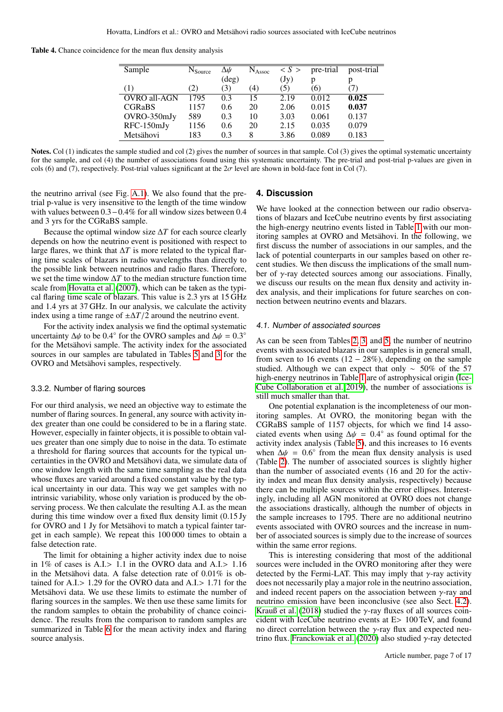<span id="page-6-1"></span>Table 4. Chance coincidence for the mean flux density analysis

| Sample        | $N_{\text{Source}}$ | Δψ             | $N_{\rm Assoc}$ | S >             | pre-trial | post-trial |
|---------------|---------------------|----------------|-----------------|-----------------|-----------|------------|
|               |                     | $(\text{deg})$ |                 | $(\mathrm{Jy})$ | р         | р          |
| (1)           | (2)                 | (3)            | (4)             | (5              | (6)       | 7)         |
| OVRO all-AGN  | 1795                | 0.3            | 15              | 2.19            | 0.012     | 0.025      |
| <b>CGRaBS</b> | 1157                | 0.6            | 20              | 2.06            | 0.015     | 0.037      |
| OVRO-350mJy   | 589                 | 0.3            | 10              | 3.03            | 0.061     | 0.137      |
| RFC-150mJy    | 1156                | 0.6            | 20              | 2.15            | 0.035     | 0.079      |
| Metsähovi     | 183                 | 0.3            | 8               | 3.86            | 0.089     | 0.183      |

Notes. Col (1) indicates the sample studied and col (2) gives the number of sources in that sample. Col (3) gives the optimal systematic uncertainty for the sample, and col (4) the number of associations found using this systematic uncertainty. The pre-trial and post-trial p-values are given in cols (6) and (7), respectively. Post-trial values significant at the  $2\sigma$  level are shown in bold-face font in Col (7).

the neutrino arrival (see Fig. [A.1\)](#page-13-0). We also found that the pretrial p-value is very insensitive to the length of the time window with values between 0.3−0.4% for all window sizes between 0.4 and 3 yrs for the CGRaBS sample.

Because the optimal window size ∆*T* for each source clearly depends on how the neutrino event is positioned with respect to large flares, we think that  $\Delta T$  is more related to the typical flaring time scales of blazars in radio wavelengths than directly to the possible link between neutrinos and radio flares. Therefore, we set the time window ∆*T* to the median structure function time scale from [Hovatta et al.](#page-11-47) [\(2007\)](#page-11-47), which can be taken as the typical flaring time scale of blazars. This value is 2.3 yrs at 15 GHz and 1.4 yrs at 37 GHz. In our analysis, we calculate the activity index using a time range of  $\pm \Delta T/2$  around the neutrino event.

For the activity index analysis we find the optimal systematic uncertainty  $\Delta\psi$  to be 0.4° for the OVRO samples and  $\Delta\psi = 0.3^{\circ}$  for the Metsähovi sample. The activity index for the associated for the Metsähovi sample. The activity index for the associated sources in our samples are tabulated in Tables [5](#page-7-0) and [3](#page-5-1) for the OVRO and Metsähovi samples, respectively.

#### <span id="page-6-2"></span>3.3.2. Number of flaring sources

For our third analysis, we need an objective way to estimate the number of flaring sources. In general, any source with activity index greater than one could be considered to be in a flaring state. However, especially in fainter objects, it is possible to obtain values greater than one simply due to noise in the data. To estimate a threshold for flaring sources that accounts for the typical uncertainties in the OVRO and Metsähovi data, we simulate data of one window length with the same time sampling as the real data whose fluxes are varied around a fixed constant value by the typical uncertainty in our data. This way we get samples with no intrinsic variability, whose only variation is produced by the observing process. We then calculate the resulting A.I. as the mean during this time window over a fixed flux density limit (0.15 Jy for OVRO and 1 Jy for Metsähovi to match a typical fainter target in each sample). We repeat this 100 000 times to obtain a false detection rate.

The limit for obtaining a higher activity index due to noise in 1% of cases is  $A.I.> 1.1$  in the OVRO data and  $A.I.> 1.16$ in the Metsähovi data. A false detection rate of 0.01% is obtained for A.I.> <sup>1</sup>.29 for the OVRO data and A.I.> <sup>1</sup>.71 for the Metsähovi data. We use these limits to estimate the number of flaring sources in the samples. We then use these same limits for the random samples to obtain the probability of chance coincidence. The results from the comparison to random samples are summarized in Table [6](#page-7-1) for the mean activity index and flaring source analysis.

#### <span id="page-6-0"></span>**4. Discussion**

We have looked at the connection between our radio observations of blazars and IceCube neutrino events by first associating the high-energy neutrino events listed in Table [1](#page-3-0) with our monitoring samples at OVRO and Metsähovi. In the following, we first discuss the number of associations in our samples, and the lack of potential counterparts in our samples based on other recent studies. We then discuss the implications of the small number of  $\gamma$ -ray detected sources among our associations. Finally, we discuss our results on the mean flux density and activity index analysis, and their implications for future searches on connection between neutrino events and blazars.

#### 4.1. Number of associated sources

As can be seen from Tables [2,](#page-5-0) [3,](#page-5-1) and [5,](#page-7-0) the number of neutrino events with associated blazars in our samples is in general small, from seven to 16 events (12 – 28%), depending on the sample studied. Although we can expect that only  $\sim 50\%$  of the 57 high-energy neutrinos in Table [1](#page-3-0) are of astrophysical origin [\(Ice-](#page-11-34)[Cube Collaboration et al. 2019\)](#page-11-34), the number of associations is still much smaller than that.

One potential explanation is the incompleteness of our monitoring samples. At OVRO, the monitoring began with the CGRaBS sample of 1157 objects, for which we find 14 associated events when using  $\Delta \psi = 0.4^{\circ}$  as found optimal for the activity index analysis (Table 5) and this increases to 16 events activity index analysis (Table [5\)](#page-7-0), and this increases to 16 events when  $\Delta \psi = 0.6^{\circ}$  from the mean flux density analysis is used (Table 2). The number of associated sources is slightly higher (Table [2\)](#page-5-0). The number of associated sources is slightly higher than the number of associated events (16 and 20 for the activity index and mean flux density analysis, respectively) because there can be multiple sources within the error ellipses. Interestingly, including all AGN monitored at OVRO does not change the associations drastically, although the number of objects in the sample increases to 1795. There are no additional neutrino events associated with OVRO sources and the increase in number of associated sources is simply due to the increase of sources within the same error regions.

This is interesting considering that most of the additional sources were included in the OVRO monitoring after they were detected by the Fermi-LAT. This may imply that  $\gamma$ -ray activity does not necessarily play a major role in the neutrino association, and indeed recent papers on the association between  $\gamma$ -ray and neutrino emission have been inconclusive (see also Sect. [4.2\)](#page-9-0). [Krauß et al.](#page-11-48) [\(2018\)](#page-11-48) studied the  $\gamma$ -ray fluxes of all sources coincident with IceCube neutrino events at E> 100 TeV, and found no direct correlation between the γ-ray flux and expected neu-trino flux. [Franckowiak et al.](#page-11-49) [\(2020\)](#page-11-49) also studied  $\gamma$ -ray detected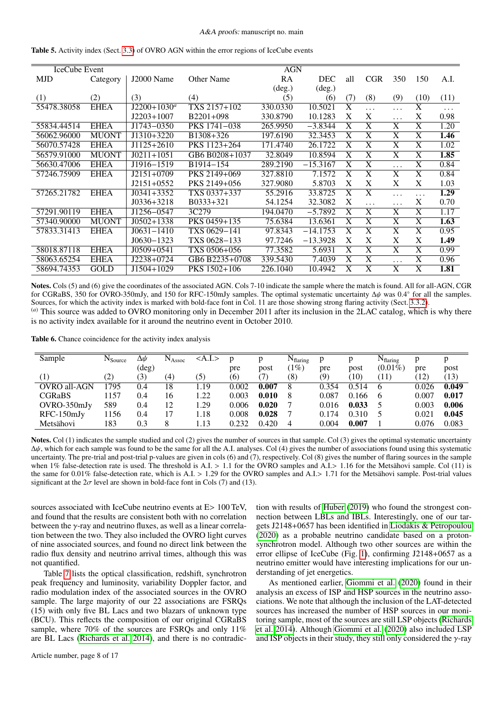| IceCube Event |              |                  |                        | <b>AGN</b>      |                 |                         |                       |                         |                         |          |
|---------------|--------------|------------------|------------------------|-----------------|-----------------|-------------------------|-----------------------|-------------------------|-------------------------|----------|
| <b>MJD</b>    | Category     | J2000 Name       | Other Name             | RA              | <b>DEC</b>      | all                     | <b>CGR</b>            | 350                     | 150                     | A.I.     |
|               |              |                  |                        | $(\text{deg.})$ | $(\text{deg.})$ |                         |                       |                         |                         |          |
| (1)           | (2)          | (3)              | (4)                    | (5)             | (6)             | (7)                     | (8)                   | (9)                     | (10)                    | (11)     |
| 55478.38058   | <b>EHEA</b>  | $J2200+1030^a$   | TXS 2157+102           | 330.0330        | 10.5021         | $\overline{\mathbf{X}}$ | $\cdots$              | $\cdots$                | $\overline{\mathbf{X}}$ | $\cdots$ |
|               |              | $J2203+1007$     | $B2201+098$            | 330.8790        | 10.1283         | X                       | X                     | .                       | X                       | 0.98     |
| 55834.44514   | <b>EHEA</b>  | J1743-0350       | PKS 1741-038           | 265.9950        | $-3.8344$       | X                       | $\overline{X}$        | $\overline{\text{X}}$   | $\overline{X}$          | 1.20     |
| 56062.96000   | <b>MUONT</b> | $J1310+3220$     | B1308+326              | 197.6190        | 32.3453         | $\overline{\mathbf{X}}$ | $\overline{X}$        | $\overline{X}$          | $\overline{X}$          | 1.46     |
| 56070.57428   | <b>EHEA</b>  | J1125+2610       | PKS 1123+264           | 171.4740        | 26.1722         | $\overline{\text{X}}$   | $\overline{X}$        | $\overline{\mathbf{X}}$ | $\overline{\mathbf{X}}$ | 1.02     |
| 56579.91000   | <b>MUONT</b> | $J0211+1051$     | GB6 B0208+1037         | 32.8049         | 10.8594         | X                       | X                     | X                       | X                       | 1.85     |
| 56630.47006   | <b>EHEA</b>  | J1916-1519       | B <sub>1914</sub> -154 | 289.2190        | $-15.3167$      | X                       | X                     |                         | X                       | 0.84     |
| 57246.75909   | <b>EHEA</b>  | $J2151+0709$     | PKS 2149+069           | 327.8810        | 7.1572          | X                       | $\overline{X}$        | $\overline{X}$          | $\overline{X}$          | 0.84     |
|               |              | $J2151+0552$     | PKS 2149+056           | 327.9080        | 5.8703          | X                       | X                     | X                       | X                       | 1.03     |
| 57265.21782   | <b>EHEA</b>  | $J(0341 + 3352)$ | TXS 0337+337           | 55.2916         | 33.8725         | X                       | $\overline{X}$        | .                       | .                       | 1.29     |
|               |              | $J0336+3218$     | B0333+321              | 54.1254         | 32.3082         | X                       | $\cdots$              | .                       | X                       | 0.70     |
| 57291.90119   | <b>EHEA</b>  | J1256-0547       | 3C279                  | 194.0470        | $-5.7892$       | $\overline{\mathbf{X}}$ | X                     | $\overline{\text{X}}$   | $\overline{\text{X}}$   | 1.17     |
| 57340.90000   | <b>MUONT</b> | $J0502+1338$     | PKS 0459+135           | 75.6384         | 13.6361         | $\overline{\text{X}}$   | $\overline{\text{X}}$ | $\overline{\text{X}}$   | $\overline{\text{X}}$   | 1.63     |
| 57833.31413   | <b>EHEA</b>  | $J0631 - 1410$   | TXS 0629-141           | 97.8343         | $-14.1753$      | X                       | X                     | $\overline{\text{X}}$   | X                       | 0.95     |
|               |              | $J0630 - 1323$   | TXS 0628-133           | 97.7246         | $-13.3928$      | $\mathbf{X}$            | X                     | X                       | X                       | 1.49     |
| 58018.87118   | <b>EHEA</b>  | $J0509+0541$     | TXS 0506+056           | 77.3582         | 5.6931          | X                       | $\overline{\text{X}}$ | $\overline{\text{X}}$   | $\overline{\text{X}}$   | 0.99     |
| 58063.65254   | <b>EHEA</b>  | J2238+0724       | GB6 B2235+0708         | 339.5430        | 7.4039          | X                       | X                     | $\ddotsc$               | $\overline{\text{X}}$   | 0.96     |
| 58694.74353   | <b>GOLD</b>  | J1504+1029       | PKS 1502+106           | 226.1040        | 10.4942         | $\overline{X}$          | $\overline{X}$        | $\overline{\mathbf{X}}$ | $\overline{X}$          | 1.81     |

<span id="page-7-0"></span>Table 5. Activity index (Sect. [3.3\)](#page-4-2) of OVRO AGN within the error regions of IceCube events

Notes. Cols (5) and (6) give the coordinates of the associated AGN. Cols 7-10 indicate the sample where the match is found. All for all-AGN, CGR for CGRaBS, 350 for OVRO-350mJy, and 150 for RFC-150mJy samples. The optimal systematic uncertainty ∆ $\psi$  was 0.4° for all the samples. Sources for which the activity index is marked with bold-face font in Col. 11 are tho Sources, for which the activity index is marked with bold-face font in Col. 11 are those showing strong flaring activity (Sect. [3.3.2\)](#page-6-2). (*a*) This source was added to OVRO monitoring only in December 2011 after its inclusion in the 2LAC catalog, which is why there

is no activity index available for it around the neutrino event in October 2010.

<span id="page-7-1"></span>Table 6. Chance coincidence for the activity index analysis

| Sample            | N <sub>Source</sub> | Δψ             | $N_{\rm Assoc}$ | $<$ A.I. $>$ |       |       | $N_{\text{flaring}}$ | p     |       | $N_{\text{flaring}}$ |       |       |
|-------------------|---------------------|----------------|-----------------|--------------|-------|-------|----------------------|-------|-------|----------------------|-------|-------|
|                   |                     | $(\text{deg})$ |                 |              | pre   | post  | (1%)                 | pre   | post  | $(0.01\%)$           | pre   | post  |
| $\left( 1\right)$ | $\left( 2\right)$   | (3)            | (4)             | (5)          | (6)   |       | (8)                  | (9)   | 10)   | (11)                 | 12)   | (13)  |
| OVRO all-AGN      | 795                 | 0.4            | 18              | l.19         | 0.002 | 0.007 | 8                    | 0.354 | 0.514 | 6                    | 0.026 | 0.049 |
| <b>CGRaBS</b>     | 157                 | 0.4            | 16              | .22          | 0.003 | 0.010 | 8                    | 0.087 | 0.166 | 6                    | 0.007 | 0.017 |
| OVRO-350mJy       | 589                 | 0.4            | 12              | . 29         | 0.006 | 0.020 |                      | 0.016 | 0.033 |                      | 0.003 | 0.006 |
| $RFC-150mJy$      | 156                 | 0.4            |                 | 1.18         | 0.008 | 0.028 |                      | 0.174 | 0.310 |                      | 0.021 | 0.045 |
| Metsähovi         | 183                 | 0.3            |                 | 1.13         | 0.232 | 0.420 | 4                    | 0.004 | 0.007 |                      | 0.076 | 0.083 |

Notes. Col (1) indicates the sample studied and col (2) gives the number of sources in that sample. Col (3) gives the optimal systematic uncertainty <sup>∆</sup>ψ, which for each sample was found to be the same for all the A.I. analyses. Col (4) gives the number of associations found using this systematic uncertainty. The pre-trial and post-trial p-values are given in cols (6) and (7), respectively. Col (8) gives the number of flaring sources in the sample when  $1\%$  false-detection rate is used. The threshold is A.I. > 1.1 for the OVRO samples and A.I. > 1.16 for the Metsähovi sample. Col (11) is the same for 0.01% false-detection rate, which is A.I. > <sup>1</sup>.29 for the OVRO samples and A.I.> <sup>1</sup>.71 for the Metsähovi sample. Post-trial values significant at the  $2\sigma$  level are shown in bold-face font in Cols (7) and (13).

sources associated with IceCube neutrino events at E> 100 TeV, and found that the results are consistent both with no correlation between the  $\gamma$ -ray and neutrino fluxes, as well as a linear correlation between the two. They also included the OVRO light curves of nine associated sources, and found no direct link between the radio flux density and neutrino arrival times, although this was not quantified.

Table [7](#page-8-0) lists the optical classification, redshift, synchrotron peak frequency and luminosity, variability Doppler factor, and radio modulation index of the associated sources in the OVRO sample. The large majority of our 22 associations are FSRQs (15) with only five BL Lacs and two blazars of unknown type (BCU). This reflects the composition of our original CGRaBS sample, where 70% of the sources are FSRQs and only 11% are BL Lacs [\(Richards et al. 2014\)](#page-11-42), and there is no contradic-

Article number, page 8 of 17

tion with results of [Huber](#page-11-19) [\(2019\)](#page-11-19) who found the strongest connection between LBLs and IBLs. Interestingly, one of our targets J2148+0657 has been identified in [Liodakis & Petropoulou](#page-11-50) [\(2020\)](#page-11-50) as a probable neutrino candidate based on a protonsynchrotron model. Although two other sources are within the error ellipse of IceCube (Fig. [1\)](#page-4-3), confirming J2148+0657 as a neutrino emitter would have interesting implications for our understanding of jet energetics.

As mentioned earlier, [Giommi et al.](#page-11-18) [\(2020\)](#page-11-18) found in their analysis an excess of ISP and HSP sources in the neutrino associations. We note that although the inclusion of the LAT-detected sources has increased the number of HSP sources in our monitoring sample, most of the sources are still LSP objects [\(Richards](#page-11-42) [et al. 2014\)](#page-11-42). Although [Giommi et al.](#page-11-18) [\(2020\)](#page-11-18) also included LSP and ISP objects in their study, they still only considered the  $\gamma$ -ray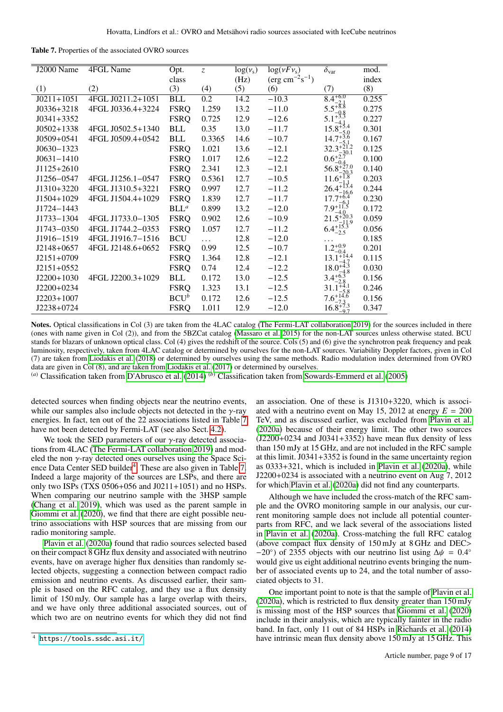<span id="page-8-0"></span>Table 7. Properties of the associated OVRO sources

| J2000 Name     | 4FGL Name         | Opt.        | $\overline{z}$ | log(v <sub>s</sub> ) | $\log(\nu F \nu_{\rm s})$           | $\overline{\delta}_{\text{var}}$ | mod.  |
|----------------|-------------------|-------------|----------------|----------------------|-------------------------------------|----------------------------------|-------|
|                |                   | class       |                | (Hz)                 | $(\text{erg cm}^{-2}\text{s}^{-1})$ |                                  | index |
| (1)            | (2)               | (3)         | (4)            | (5)                  | (6)                                 | (7)                              | (8)   |
| $J0211+1051$   | 4FGL J0211.2+1051 | BLL         | 0.2            | 14.2                 | $-10.3$                             | $8.4^{+6.0}_{-2.0}$              | 0.255 |
| $J0336+3218$   | 4FGL J0336.4+3224 | <b>FSRQ</b> | 1.259          | 13.2                 | $-11.0$                             | $5.5^{+8.8}_{-8.8}$              | 0.275 |
| $J0341+3352$   |                   | <b>FSRQ</b> | 0.725          | 12.9                 | $-12.6$                             | 5.1                              | 0.227 |
| $J0502+1338$   | 4FGL J0502.5+1340 | <b>BLL</b>  | 0.35           | 13.0                 | $-11.7$                             | $15.8^{+5.4}_{-2.2}$             | 0.301 |
| $J0509 + 0541$ | 4FGL J0509.4+0542 | <b>BLL</b>  | 0.3365         | 14.6                 | $-10.7$                             | $14.7^{+3.6}$                    | 0.167 |
| $J0630 - 1323$ |                   | <b>FSRQ</b> | 1.021          | 13.6                 | $-12.1$                             | $32.3^{+2}$                      | 0.125 |
| $J0631 - 1410$ |                   | <b>FSRQ</b> | 1.017          | 12.6                 | $-12.2$                             | $0.6^{+2.0}_{-6.0}$              | 0.100 |
| $J1125+2610$   |                   | <b>FSRQ</b> | 2.341          | 12.3                 | $-12.1$                             | $56.8^{+27.0}_{-20.2}$           | 0.140 |
| J1256-0547     | 4FGL J1256.1-0547 | <b>FSRQ</b> | 0.5361         | 12.7                 | $-10.5$                             | $11.6^{+}$                       | 0.203 |
| J1310+3220     | 4FGL J1310.5+3221 | <b>FSRQ</b> | 0.997          | 12.7                 | $-11.2$                             | $26.4^{+13.4}_{-11.4}$<br>16.6   | 0.244 |
| J1504+1029     | 4FGL J1504.4+1029 | <b>FSRQ</b> | 1.839          | 12.7                 | $-11.7$                             | $17.7^{+6.4}$                    | 0.230 |
| J1724-1443     |                   | $BLL^a$     | 0.899          | 13.2                 | $-12.0$                             | $7.9^{+11.5}_{-2.2}$             | 0.172 |
| J1733-1304     | 4FGL J1733.0-1305 | <b>FSRQ</b> | 0.902          | 12.6                 | $-10.9$                             | $21.5^{+20.3}$<br>9              | 0.059 |
| J1743-0350     | 4FGL J1744.2-0353 | <b>FSRQ</b> | 1.057          | 12.7                 | $-11.2$                             | $6.4^{+15.}_{-2.5}$              | 0.056 |
| J1916-1519     | 4FGL J1916.7-1516 | <b>BCU</b>  | $\ddotsc$      | 12.8                 | $-12.0$                             |                                  | 0.185 |
| $J2148+0657$   | 4FGL J2148.6+0652 | <b>FSRQ</b> | 0.99           | 12.5                 | $-10.7$                             | $1.2^{+0.9}_{-0.1}$<br>$-0.4$    | 0.201 |
| $J2151+0709$   |                   | <b>FSRQ</b> | 1.364          | 12.8                 | $-12.1$                             | $13.1^{+14.4}_{-17}$             | 0.115 |
| $J2151+0552$   |                   | <b>FSRQ</b> | 0.74           | 12.4                 | $-12.2$                             | $18.0^{+4.3}_{-4.2}$             | 0.030 |
| $J2200+1030$   | 4FGL J2200.3+1029 | <b>BLL</b>  | 0.172          | 13.0                 | $-12.5$                             | $3.4^{+6.3}_{-2.3}$              | 0.156 |
| J2200+0234     |                   | <b>FSRQ</b> | 1.323          | 13.1                 | $-12.5$                             | 31.1                             | 0.246 |
| $J2203+1007$   |                   | $BCU^b$     | 0.172          | 12.6                 | $-12.5$                             | $7.6^{+14.6}_{-2.2}$             | 0.156 |
| J2238+0724     |                   | <b>FSRQ</b> | 1.011          | 12.9                 | $-12.0$                             | $16.8^{+7.3}_{-0.7}$             | 0.347 |
|                |                   |             |                |                      |                                     |                                  |       |

Notes. Optical classifications in Col (3) are taken from the 4LAC catalog [\(The Fermi-LAT collaboration 2019\)](#page-11-25) for the sources included in there (ones with name given in Col (2)), and from the 5BZCat catalog [\(Massaro et al. 2015\)](#page-11-51) for the non-LAT sources unless otherwise stated. BCU stands for blazars of unknown optical class. Col (4) gives the redshift of the source. Cols (5) and (6) give the synchrotron peak frequency and peak luminosity, respectively, taken from 4LAC catalog or determined by ourselves for the non-LAT sources. Variability Doppler factors, given in Col (7) are taken from [Liodakis et al.](#page-11-52) [\(2018\)](#page-11-52) or determined by ourselves using the same methods. Radio modulation index determined from OVRO data are given in Col (8), and are taken from [Liodakis et al.](#page-11-41) [\(2017\)](#page-11-41) or determined by ourselves.

(*a*) Classification taken from [D'Abrusco et al.](#page-11-53) [\(2014\)](#page-11-53) (*b*) Classification taken from [Sowards-Emmerd et al.](#page-11-54) [\(2005\)](#page-11-54)

detected sources when finding objects near the neutrino events, while our samples also include objects not detected in the  $\gamma$ -ray energies. In fact, ten out of the 22 associations listed in Table [7](#page-8-0) have not been detected by Fermi-LAT (see also Sect. [4.2\)](#page-9-0).

We took the SED parameters of our  $\gamma$ -ray detected associations from 4LAC [\(The Fermi-LAT collaboration 2019\)](#page-11-25) and modeled the non  $\gamma$ -ray detected ones ourselves using the Space Sci-ence Data Center SED builder<sup>[4](#page-8-1)</sup>. These are also given in Table [7.](#page-8-0) Indeed a large majority of the sources are LSPs, and there are only two ISPs (TXS 0506+056 and J0211+1051) and no HSPs. When comparing our neutrino sample with the 3HSP sample [\(Chang et al. 2019\)](#page-11-55), which was used as the parent sample in [Giommi et al.](#page-11-18) [\(2020\)](#page-11-18), we find that there are eight possible neutrino associations with HSP sources that are missing from our radio monitoring sample.

[Plavin et al.](#page-11-29) [\(2020a\)](#page-11-29) found that radio sources selected based on their compact 8 GHz flux density and associated with neutrino events, have on average higher flux densities than randomly selected objects, suggesting a connection between compact radio emission and neutrino events. As discussed earlier, their sample is based on the RFC catalog, and they use a flux density limit of 150 mJy. Our sample has a large overlap with theirs, and we have only three additional associated sources, out of which two are on neutrino events for which they did not find

an association. One of these is J1310+3220, which is associated with a neutrino event on May 15, 2012 at energy  $E = 200$ TeV, and as discussed earlier, was excluded from [Plavin et al.](#page-11-29) [\(2020a\)](#page-11-29) because of their energy limit. The other two sources  $(J2200+0234$  and  $J0341+3352)$  have mean flux density of less than 150 mJy at 15 GHz, and are not included in the RFC sample at this limit. J0341+3352 is found in the same uncertainty region as 0333+321, which is included in [Plavin et al.](#page-11-29) [\(2020a\)](#page-11-29), while J2200+0234 is associated with a neutrino event on Aug 7, 2012 for which [Plavin et al.](#page-11-29) [\(2020a\)](#page-11-29) did not find any counterparts.

Although we have included the cross-match of the RFC sample and the OVRO monitoring sample in our analysis, our current monitoring sample does not include all potential counterparts from RFC, and we lack several of the associations listed in [Plavin et al.](#page-11-29) [\(2020a\)](#page-11-29). Cross-matching the full RFC catalog (above compact flux density of 150 mJy at 8 GHz and DEC>  $-20°$ ) of 2355 objects with our neutrino list using  $\Delta \psi = 0.4°$ <br>would give us eight additional neutrino events bringing the numwould give us eight additional neutrino events bringing the number of associated events up to 24, and the total number of associated objects to 31.

One important point to note is that the sample of [Plavin et al.](#page-11-29) [\(2020a\)](#page-11-29), which is restricted to flux density greater than 150 mJy is missing most of the HSP sources that [Giommi et al.](#page-11-18) [\(2020\)](#page-11-18) include in their analysis, which are typically fainter in the radio band. In fact, only 11 out of 84 HSPs in [Richards et al.](#page-11-42) [\(2014\)](#page-11-42) have intrinsic mean flux density above 150 mJy at 15 GHz. This

<span id="page-8-1"></span><sup>4</sup> <https://tools.ssdc.asi.it/>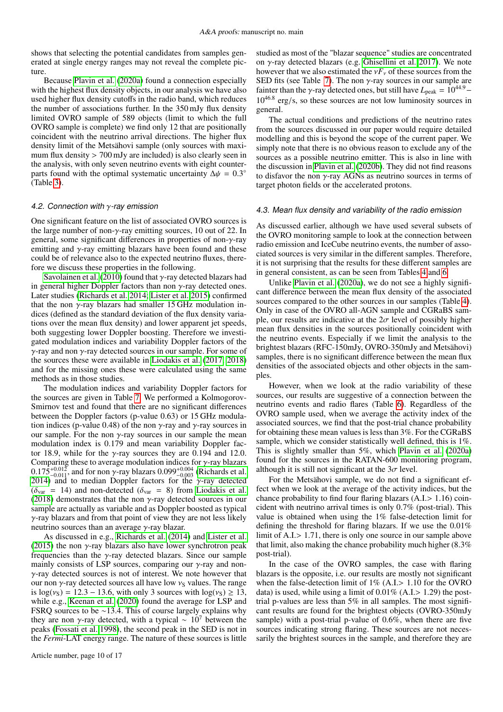shows that selecting the potential candidates from samples generated at single energy ranges may not reveal the complete picture.

Because [Plavin et al.](#page-11-29) [\(2020a\)](#page-11-29) found a connection especially with the highest flux density objects, in our analysis we have also used higher flux density cutoffs in the radio band, which reduces the number of associations further. In the 350 mJy flux density limited OVRO sample of 589 objects (limit to which the full OVRO sample is complete) we find only 12 that are positionally coincident with the neutrino arrival directions. The higher flux density limit of the Metsähovi sample (only sources with maximum flux density > 700 mJy are included) is also clearly seen in the analysis, with only seven neutrino events with eight counterparts found with the optimal systematic uncertainty  $\Delta \psi = 0.3^{\circ}$ <br>(Table 3) (Table [3\)](#page-5-1).

## <span id="page-9-0"></span>4.2. Connection with  $\gamma$ -ray emission

One significant feature on the list of associated OVRO sources is the large number of non- $\gamma$ -ray emitting sources, 10 out of 22. In general, some significant differences in properties of non-γ-ray emitting and  $\gamma$ -ray emitting blazars have been found and these could be of relevance also to the expected neutrino fluxes, therefore we discuss these properties in the following.

[Savolainen et al.](#page-11-56) [\(2010\)](#page-11-56) found that  $\gamma$ -ray detected blazars had in general higher Doppler factors than non  $\gamma$ -ray detected ones. Later studies [\(Richards et al. 2014;](#page-11-42) [Lister et al. 2015\)](#page-11-57) confirmed that the non  $\gamma$ -ray blazars had smaller 15 GHz modulation indices (defined as the standard deviation of the flux density variations over the mean flux density) and lower apparent jet speeds, both suggesting lower Doppler boosting. Therefore we investigated modulation indices and variability Doppler factors of the  $\gamma$ -ray and non  $\gamma$ -ray detected sources in our sample. For some of the sources these were available in [Liodakis et al.](#page-11-41) [\(2017,](#page-11-41) [2018\)](#page-11-52) and for the missing ones these were calculated using the same methods as in those studies.

The modulation indices and variability Doppler factors for the sources are given in Table [7.](#page-8-0) We performed a Kolmogorov-Smirnov test and found that there are no significant differences between the Doppler factors (p-value 0.63) or 15 GHz modulation indices (p-value 0.48) of the non  $\gamma$ -ray and  $\gamma$ -ray sources in our sample. For the non  $\gamma$ -ray sources in our sample the mean modulation index is 0.179 and mean variability Doppler factor 18.9, while for the  $\gamma$ -ray sources they are 0.194 and 12.0.<br>Comparing these to average modulation indices for  $\gamma$ -ray blazars Comparing these to average modulation indices for  $\gamma$ -ray blazars 0.099<sup>+0.004</sup> (Richards et al.  $0.175^{+0.012}_{-0.011}$ , and for non  $\gamma$ -ray blazars  $0.099^{+0.004}_{-0.003}$  [\(Richards et al.](#page-11-42)<br>2014) and to median Doppler factors for the  $\gamma$ -ray detected [2014\)](#page-11-42) and to median Doppler factors for the  $\gamma$ -ray detected  $(\delta_{var} = 14)$  and non-detected  $(\delta_{var} = 8)$  from [Liodakis et al.](#page-11-52) [\(2018\)](#page-11-52) demonstrates that the non  $\gamma$ -ray detected sources in our sample are actually as variable and as Doppler boosted as typical γ-ray blazars and from that point of view they are not less likely neutrino sources than an average γ-ray blazar.

As discussed in e.g., [Richards et al.](#page-11-42) [\(2014\)](#page-11-42) and [Lister et al.](#page-11-57) [\(2015\)](#page-11-57) the non  $\gamma$ -ray blazars also have lower synchrotron peak frequencies than the  $\gamma$ -ray detected blazars. Since our sample mainly consists of LSP sources, comparing our  $\gamma$ -ray and non- $\gamma$ -ray detected sources is not of interest. We note however that our non  $\gamma$ -ray detected sources all have low  $v_S$  values. The range is  $log(v<sub>S</sub>) = 12.3 - 13.6$ , with only 3 sources with  $log(v<sub>S</sub>) \ge 13$ , while e.g., [Keenan et al.](#page-11-58) [\(2020\)](#page-11-58) found the average for LSP and FSRQ sources to be ∼13.4. This of course largely explains why they are non γ-ray detected, with a typical  $~\sim~10^7$  between the peaks [\(Fossati et al. 1998\)](#page-11-59), the second peak in the SED is not in the *Fermi*-LAT energy range. The nature of these sources is little

studied as most of the "blazar sequence" studies are concentrated on γ-ray detected blazars (e.g. [Ghisellini et al. 2017\)](#page-11-60). We note however that we also estimated the  $vF_v$  of these sources from the SED fits (see Table [7\)](#page-8-0). The non  $\gamma$ -ray sources in our sample are fainter than the *γ*-ray detected ones, but still have  $L_{\text{peak}} = 10^{44.9} 10^{46.8}$  erg/s, so these sources are not low luminosity sources in general general.

The actual conditions and predictions of the neutrino rates from the sources discussed in our paper would require detailed modelling and this is beyond the scope of the current paper. We simply note that there is no obvious reason to exclude any of the sources as a possible neutrino emitter. This is also in line with the discussion in [Plavin et al.](#page-11-31) [\(2020b\)](#page-11-31). They did not find reasons to disfavor the non  $\gamma$ -ray AGNs as neutrino sources in terms of target photon fields or the accelerated protons.

#### 4.3. Mean flux density and variability of the radio emission

As discussed earlier, although we have used several subsets of the OVRO monitoring sample to look at the connection between radio emission and IceCube neutrino events, the number of associated sources is very similar in the different samples. Therefore, it is not surprising that the results for these different samples are in general consistent, as can be seen from Tables [4](#page-6-1) and [6.](#page-7-1)

Unlike [Plavin et al.](#page-11-29) [\(2020a\)](#page-11-29), we do not see a highly significant difference between the mean flux density of the associated sources compared to the other sources in our samples (Table [4\)](#page-6-1). Only in case of the OVRO all-AGN sample and CGRaBS sample, our results are indicative at the  $2\sigma$  level of possibly higher mean flux densities in the sources positionally coincident with the neutrino events. Especially if we limit the analysis to the brightest blazars (RFC-150mJy, OVRO-350mJy and Metsähovi) samples, there is no significant difference between the mean flux densities of the associated objects and other objects in the samples.

However, when we look at the radio variability of these sources, our results are suggestive of a connection between the neutrino events and radio flares (Table [6\)](#page-7-1). Regardless of the OVRO sample used, when we average the activity index of the associated sources, we find that the post-trial chance probability for obtaining these mean values is less than 3%. For the CGRaBS sample, which we consider statistically well defined, this is 1%. This is slightly smaller than 5%, which [Plavin et al.](#page-11-29) [\(2020a\)](#page-11-29) found for the sources in the RATAN-600 monitoring program, although it is still not significant at the  $3\sigma$  level.

For the Metsähovi sample, we do not find a significant effect when we look at the average of the activity indices, but the chance probability to find four flaring blazars (A.I.> <sup>1</sup>.16) coincident with neutrino arrival times is only 0.7% (post-trial). This value is obtained when using the 1% false-detection limit for defining the threshold for flaring blazars. If we use the 0.01% limit of A.I.> <sup>1</sup>.71, there is only one source in our sample above that limit, also making the chance probability much higher (8.3% post-trial).

In the case of the OVRO samples, the case with flaring blazars is the opposite, i.e. our results are mostly not significant when the false-detection limit of 1% (A.I.> 1.10 for the OVRO data) is used, while using a limit of  $0.01\%$  (A.I. $> 1.29$ ) the posttrial p-values are less than 5% in all samples. The most significant results are found for the brightest objects (OVRO-350mJy sample) with a post-trial p-value of 0.6%, when there are five sources indicating strong flaring. These sources are not necessarily the brightest sources in the sample, and therefore they are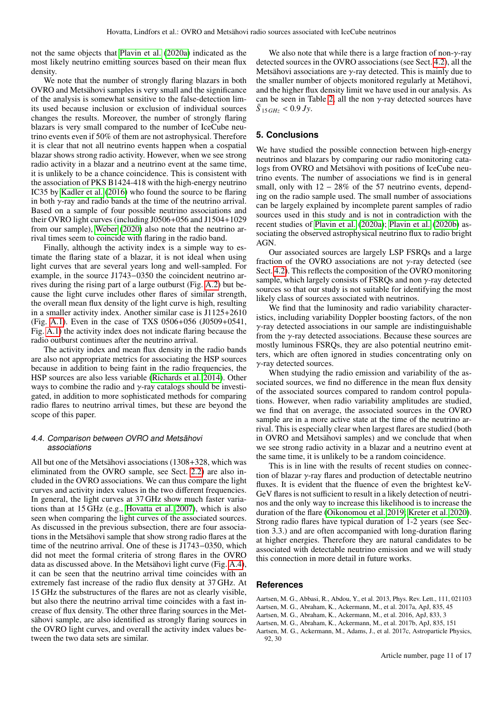not the same objects that [Plavin et al.](#page-11-29) [\(2020a\)](#page-11-29) indicated as the most likely neutrino emitting sources based on their mean flux density.

We note that the number of strongly flaring blazars in both OVRO and Metsähovi samples is very small and the significance of the analysis is somewhat sensitive to the false-detection limits used because inclusion or exclusion of individual sources changes the results. Moreover, the number of strongly flaring blazars is very small compared to the number of IceCube neutrino events even if 50% of them are not astrophysical. Therefore it is clear that not all neutrino events happen when a cospatial blazar shows strong radio activity. However, when we see strong radio activity in a blazar and a neutrino event at the same time, it is unlikely to be a chance coincidence. This is consistent with the association of PKS B1424-418 with the high-energy neutrino IC35 by [Kadler et al.](#page-11-28) [\(2016\)](#page-11-28) who found the source to be flaring in both  $\gamma$ -ray and radio bands at the time of the neutrino arrival. Based on a sample of four possible neutrino associations and their OVRO light curves (including J0506+056 and J1504+1029 from our sample), [Weber](#page-11-61) [\(2020\)](#page-11-61) also note that the neutrino arrival times seem to coincide with flaring in the radio band.

Finally, although the activity index is a simple way to estimate the flaring state of a blazar, it is not ideal when using light curves that are several years long and well-sampled. For example, in the source J1743−0350 the coincident neutrino arrives during the rising part of a large outburst (Fig. [A.2\)](#page-14-0) but because the light curve includes other flares of similar strength, the overall mean flux density of the light curve is high, resulting in a smaller activity index. Another similar case is J1125+2610 (Fig. [A.1\)](#page-13-0). Even in the case of TXS 0506+056 (J0509+0541, Fig. [A.1\)](#page-13-0) the activity index does not indicate flaring because the radio outburst continues after the neutrino arrival.

The activity index and mean flux density in the radio bands are also not appropriate metrics for associating the HSP sources because in addition to being faint in the radio frequencies, the HSP sources are also less variable [\(Richards et al. 2014\)](#page-11-42). Other ways to combine the radio and  $\nu$ -ray catalogs should be investigated, in addition to more sophisticated methods for comparing radio flares to neutrino arrival times, but these are beyond the scope of this paper.

# 4.4. Comparison between OVRO and Metsähovi associations

All but one of the Metsähovi associations (1308+328, which was eliminated from the OVRO sample, see Sect. [2.2\)](#page-2-2) are also included in the OVRO associations. We can thus compare the light curves and activity index values in the two different frequencies. In general, the light curves at 37 GHz show much faster variations than at 15 GHz (e.g., [Hovatta et al. 2007\)](#page-11-47), which is also seen when comparing the light curves of the associated sources. As discussed in the previous subsection, there are four associations in the Metsähovi sample that show strong radio flares at the time of the neutrino arrival. One of these is J1743−0350, which did not meet the formal criteria of strong flares in the OVRO data as discussed above. In the Metsähovi light curve (Fig. [A.4\)](#page-16-0), it can be seen that the neutrino arrival time coincides with an extremely fast increase of the radio flux density at 37 GHz. At 15 GHz the substructures of the flares are not as clearly visible, but also there the neutrino arrival time coincides with a fast increase of flux density. The other three flaring sources in the Metsähovi sample, are also identified as strongly flaring sources in the OVRO light curves, and overall the activity index values between the two data sets are similar.

We also note that while there is a large fraction of non- $\gamma$ -ray detected sources in the OVRO associations (see Sect. [4.2\)](#page-9-0), all the Metsähovi associations are  $\gamma$ -ray detected. This is mainly due to the smaller number of objects monitored regularly at Metähovi, and the higher flux density limit we have used in our analysis. As can be seen in Table [2,](#page-5-0) all the non  $\gamma$ -ray detected sources have  $\bar{S}_{15\,GHz}$  < 0.9 *Jy*.

# <span id="page-10-2"></span>**5. Conclusions**

We have studied the possible connection between high-energy neutrinos and blazars by comparing our radio monitoring catalogs from OVRO and Metsähovi with positions of IceCube neutrino events. The number of associations we find is in general small, only with  $12 - 28\%$  of the 57 neutrino events, depending on the radio sample used. The small number of associations can be largely explained by incomplete parent samples of radio sources used in this study and is not in contradiction with the recent studies of [Plavin et al.](#page-11-29) [\(2020a\)](#page-11-29); [Plavin et al.](#page-11-31) [\(2020b\)](#page-11-31) associating the observed astrophysical neutrino flux to radio bright AGN.

Our associated sources are largely LSP FSRQs and a large fraction of the OVRO associations are not  $\gamma$ -ray detected (see Sect. [4.2\)](#page-9-0). This reflects the composition of the OVRO monitoring sample, which largely consists of FSRQs and non  $\gamma$ -ray detected sources so that our study is not suitable for identifying the most likely class of sources associated with neutrinos.

We find that the luminosity and radio variability characteristics, including variability Doppler boosting factors, of the non γ-ray detected associations in our sample are indistinguishable from the  $\gamma$ -ray detected associations. Because these sources are mostly luminous FSRQs, they are also potential neutrino emitters, which are often ignored in studies concentrating only on  $\gamma$ -ray detected sources.

When studying the radio emission and variability of the associated sources, we find no difference in the mean flux density of the associated sources compared to random control populations. However, when radio variability amplitudes are studied, we find that on average, the associated sources in the OVRO sample are in a more active state at the time of the neutrino arrival. This is especially clear when largest flares are studied (both in OVRO and Metsähovi samples) and we conclude that when we see strong radio activity in a blazar and a neutrino event at the same time, it is unlikely to be a random coincidence.

This is in line with the results of recent studies on connection of blazar γ-ray flares and production of detectable neutrino fluxes. It is evident that the fluence of even the brightest keV-GeV flares is not sufficient to result in a likely detection of neutrinos and the only way to increase this likelihood is to increase the duration of the flare [\(Oikonomou et al. 2019;](#page-11-62) [Kreter et al. 2020\)](#page-11-63). Strong radio flares have typical duration of 1-2 years (see Section 3.3.) and are often accompanied with long-duration flaring at higher energies. Therefore they are natural candidates to be associated with detectable neutrino emission and we will study this connection in more detail in future works.

# **References**

- <span id="page-10-0"></span>Aartsen, M. G., Abbasi, R., Abdou, Y., et al. 2013, Phys. Rev. Lett., 111, 021103
- <span id="page-10-1"></span>Aartsen, M. G., Abraham, K., Ackermann, M., et al. 2017a, ApJ, 835, 45
- <span id="page-10-3"></span>Aartsen, M. G., Abraham, K., Ackermann, M., et al. 2016, ApJ, 833, 3
- <span id="page-10-5"></span>Aartsen, M. G., Abraham, K., Ackermann, M., et al. 2017b, ApJ, 835, 151
- <span id="page-10-4"></span>Aartsen, M. G., Ackermann, M., Adams, J., et al. 2017c, Astroparticle Physics, 92, 30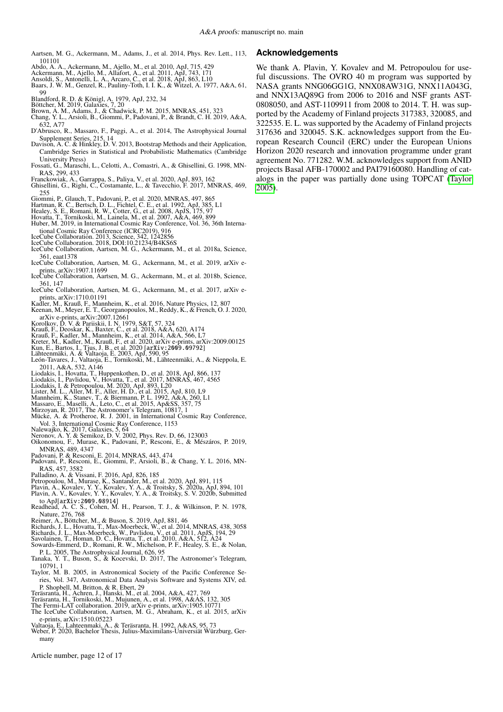- <span id="page-11-37"></span>Aartsen, M. G., Ackermann, M., Adams, J., et al. 2014, Phys. Rev. Lett., 113, 101101
- <span id="page-11-40"></span><span id="page-11-16"></span>Abdo, A. A., Ackermann, M., Ajello, M., et al. 2010, ApJ, 715, 429 Ackermann, M., Ajello, M., Allafort, A., et al. 2011, ApJ, 743, 171 Ansoldi, S., Antonelli, L. A., Arcaro, C., et al. 2018, ApJ, 863, L10
- <span id="page-11-9"></span>
- <span id="page-11-39"></span>Baars, J. W. M., Genzel, R., Pauliny-Toth, I. I. K., & Witzel, A. 1977, A&A, 61,
- 99
- <span id="page-11-12"></span>
- <span id="page-11-55"></span><span id="page-11-5"></span>
- <span id="page-11-21"></span>Blandford, R. D. & Königl, A. 1979, ApJ, 232, 34<br>Böttcher, M. 2019, Galaxies, 7, 20<br>Brown, A. M., Adams, J., & Chadwick, P. M. 2015, MNRAS, 451, 323<br>Chang, Y. L., Arsioli, B., Giommi, P., Padovani, P., & Brandt, C. H. 2019 632, A77
- <span id="page-11-53"></span>D'Abrusco, R., Massaro, F., Paggi, A., et al. 2014, The Astrophysical Journal Supplement Series, 215, 14 Davison, A. C. & Hinkley, D. V. 2013, Bootstrap Methods and their Application,
- <span id="page-11-46"></span>Cambridge Series in Statistical and Probabilistic Mathematics (Cambridge University Press)
- <span id="page-11-59"></span>Fossati, G., Maraschi, L., Celotti, A., Comastri, A., & Ghisellini, G. 1998, MN-
- <span id="page-11-60"></span><span id="page-11-49"></span>RAS, 299, 433 Franckowiak, A., Garrappa, S., Paliya, V., et al. 2020, ApJ, 893, 162 Ghisellini, G., Righi, C., Costamante, L., & Tavecchio, F. 2017, MNRAS, 469, 255
- <span id="page-11-18"></span>Giommi, P., Glauch, T., Padovani, P., et al. 2020, MNRAS, 497, 865
- <span id="page-11-26"></span><span id="page-11-0"></span>Hartman, R. C., Bertsch, D. L., Fichtel, C. E., et al. 1992, ApJ, 385, L1<br>Healey, S. E., Romani, R. W., Cotter, G., et al. 2008, ApJS, 175, 97<br>Hovatta, T., Tornikoski, M., Lainela, M., et al. 2007, A&A, 469, 899<br>Huber, M.
- <span id="page-11-47"></span>
- <span id="page-11-19"></span>
- 
- <span id="page-11-45"></span><span id="page-11-11"></span>
- <span id="page-11-3"></span>tional Cosmic Ray Conference (ICRC2019), 916 IceCube Collaboration. 2013, Science, 342, 1242856 IceCube Collaboration. 2018, DOI:10.21234/B4KS6S IceCube Collaboration, Aartsen, M. G., Ackermann, M., et al. 2018a, Science, 361, eaat1378
- <span id="page-11-34"></span>IceCube Collaboration, Aartsen, M. G., Ackermann, M., et al. 2019, arXiv e-
- <span id="page-11-8"></span>prints, arXiv:1907.11699 IceCube Collaboration, Aartsen, M. G., Ackermann, M., et al. 2018b, Science, 361, 147
- <span id="page-11-35"></span>IceCube Collaboration, Aartsen, M. G., Ackermann, M., et al. 2017, arXiv e-
- <span id="page-11-28"></span>prints, arXiv:1710.01191 Kadler, M., Krauß, F., Mannheim, K., et al. 2016, Nature Physics, 12, 807 Keenan, M., Meyer, E. T., Georganopoulos, M., Reddy, K., & French, O. J. 2020,
- <span id="page-11-58"></span>arXiv e-prints, arXiv:2007.12661
- 
- <span id="page-11-27"></span>
- <span id="page-11-63"></span><span id="page-11-14"></span>
- <span id="page-11-48"></span><span id="page-11-30"></span>Korolkov, D. V. & Pariiskii, I. N. 1979, S&T, 57, 324<br>Krauß, F., Deoskar, K., Baxter, C., et al. 2018, A&A, 620, A174<br>Krauß, F., Kadler, M., Mannheim, K., et al. 2014, A&A, 566, L7<br>Kreter, M., Kadler, M., Krauß, F., et al.
- <span id="page-11-23"></span><span id="page-11-22"></span>
- 2011, A&A, 532, A146
- <span id="page-11-41"></span>
- <span id="page-11-50"></span>
- <span id="page-11-57"></span>
- <span id="page-11-1"></span>
- <span id="page-11-51"></span>
- <span id="page-11-7"></span><span id="page-11-2"></span>
- <span id="page-11-52"></span>Liodakis, I., Hovatta, T., Huppenkothen, D., et al. 2018, ApJ, 866, 137<br>Liodakis, I., Pavlidou, V., Hovatta, T., et al. 2017, MNRAS, 467, 4565<br>Liodakis, I. & Petropoulou, M. 2020, ApJ, 893, L20<br>Lister, M. L., Aller, M. F.,
- <span id="page-11-62"></span><span id="page-11-15"></span>
- <span id="page-11-24"></span>Vol. 3, International Cosmic Ray Conference, 1153 Nalewajko, K. 2017, Galaxies, 5, 64 Neronov, A. Y. & Semikoz, D. V. 2002, Phys. Rev. D, 66, 123003 Oikonomou, F., Murase, K., Padovani, P., Resconi, E., & Mészáros, P. 2019, MNRAS, 489, 4347
- <span id="page-11-4"></span>
- <span id="page-11-17"></span>Padovani, P. & Resconi, E. 2014, MNRAS, 443, 474 Padovani, P., Resconi, E., Giommi, P., Arsioli, B., & Chang, Y. L. 2016, MN-RAS, 457, 3582
- 
- <span id="page-11-31"></span><span id="page-11-29"></span>
- <span id="page-11-36"></span><span id="page-11-10"></span>Palladino, A. & Vissani, F. 2016, ApJ, 826, 185<br>Petropoulou, M., Murase, K., Santander, M., et al. 2020, ApJ, 891, 115<br>Plavin, A., Kovalev, Y. Y., Kovalev, Y. A., & Troitsky, S. 2020a, ApJ, 894, 101<br>Plavin, A. V., Kovalev,
- <span id="page-11-20"></span>to ApJ[arXiv:2009.08914] Readhead, A. C. S., Cohen, M. H., Pearson, T. J., & Wilkinson, P. N. 1978, Nature, 276, 768
- <span id="page-11-13"></span>
- <span id="page-11-32"></span>
- <span id="page-11-42"></span>Reimer, A., Böttcher, M., & Buson, S. 2019, ApJ, 881, 46<br>Richards, J. L., Hovatta, T., Max-Moerbeck, W., et al. 2014, MNRAS, 438, 3058<br>Richards, J. L., Max-Moerbeck, W., Pavlidou, V., et al. 2011, ApJS, 194, 29<br>Savolainen,
- <span id="page-11-56"></span><span id="page-11-54"></span>Sowards-Emmerd, D., Romani, R. W., Michelson, P. F., Healey, S. E., & Nolan,
- P. L. 2005, The Astrophysical Journal, 626, 95
- <span id="page-11-6"></span>Tanaka, Y. T., Buson, S., & Kocevski, D. 2017, The Astronomer's Telegram, 10791, 1
- <span id="page-11-64"></span>Taylor, M. B. 2005, in Astronomical Society of the Pacific Conference Series, Vol. 347, Astronomical Data Analysis Software and Systems XIV, ed. P. Shopbell, M. Britton, & R. Ebert, 29
- <span id="page-11-33"></span>
- <span id="page-11-44"></span><span id="page-11-25"></span>
- Teräsrantà, H., Achren, J., Hanski, M., et al. 2004, A&A, 427, 769<br>Teräsranta, H., Tornikoski, M., Mujunen, A., et al. 1998, A&AS, 132, 305<br>The Fermi-LAT collaboration. 2019, arXiv e-prints, arXiv:1905.10771<br>The IceCube Co
- <span id="page-11-38"></span>e-prints, arXiv:1510.05223
- 
- <span id="page-11-61"></span><span id="page-11-43"></span>Valtaoja, E., Lahteenmaki, A., & Teräsranta, H. 1992, A&AS, 95, 73 Weber, P. 2020, Bachelor Thesis, Julius-Maximilans-Universiät Würzburg, Germany

Article number, page 12 of 17

# **Acknowledgements**

We thank A. Plavin, Y. Kovalev and M. Petropoulou for useful discussions. The OVRO 40 m program was supported by NASA grants NNG06GG1G, NNX08AW31G, NNX11A043G, and NNX13AQ89G from 2006 to 2016 and NSF grants AST-0808050, and AST-1109911 from 2008 to 2014. T. H. was supported by the Academy of Finland projects 317383, 320085, and 322535. E. L. was supported by the Academy of Finland projects 317636 and 320045. S.K. acknowledges support from the European Research Council (ERC) under the European Unions Horizon 2020 research and innovation programme under grant agreement No. 771282. W.M. acknowledges support from ANID projects Basal AFB-170002 and PAI79160080. Handling of catalogs in the paper was partially done using TOPCAT [\(Taylor](#page-11-64) [2005\)](#page-11-64).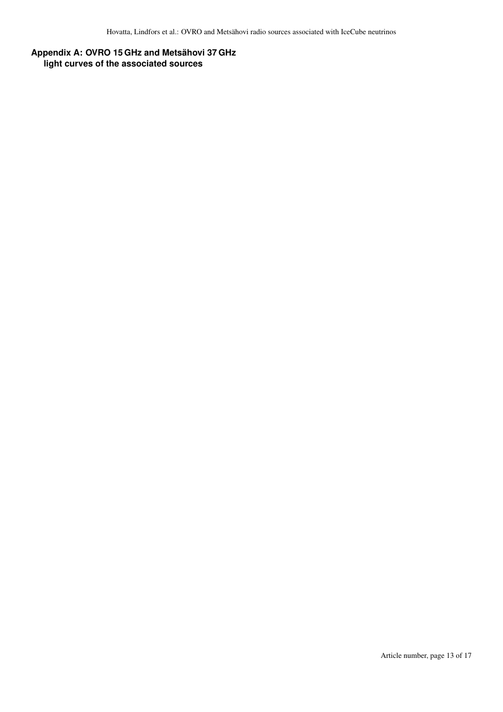# **Appendix A: OVRO 15 GHz and Metsähovi 37 GHz light curves of the associated sources**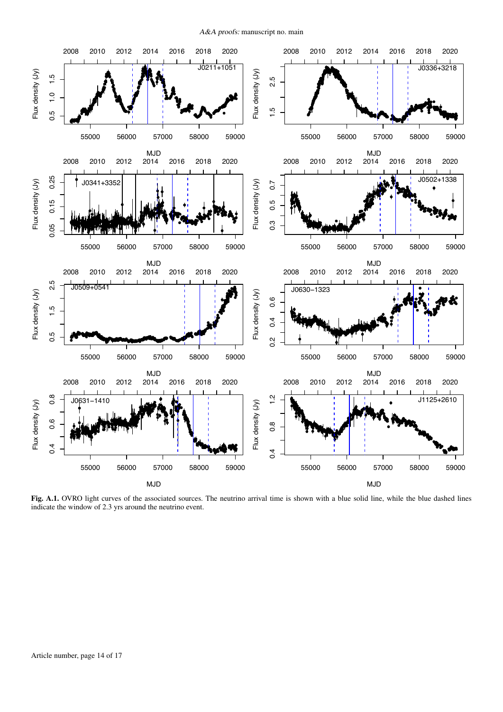A&A proofs: manuscript no. main



<span id="page-13-0"></span>Fig. A.1. OVRO light curves of the associated sources. The neutrino arrival time is shown with a blue solid line, while the blue dashed lines indicate the window of 2.3 yrs around the neutrino event.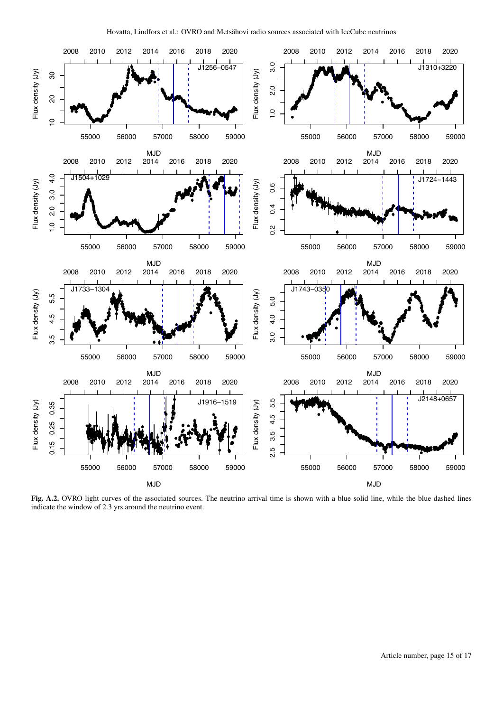

<span id="page-14-0"></span>Fig. A.2. OVRO light curves of the associated sources. The neutrino arrival time is shown with a blue solid line, while the blue dashed lines indicate the window of 2.3 yrs around the neutrino event.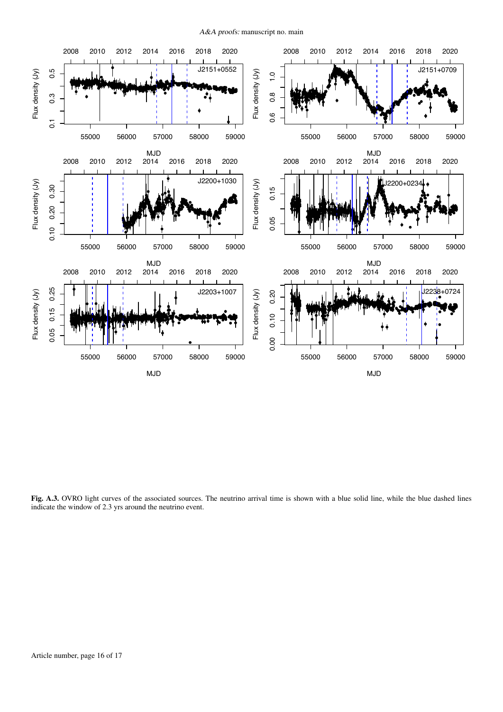A&A proofs: manuscript no. main



Fig. A.3. OVRO light curves of the associated sources. The neutrino arrival time is shown with a blue solid line, while the blue dashed lines indicate the window of 2.3 yrs around the neutrino event.